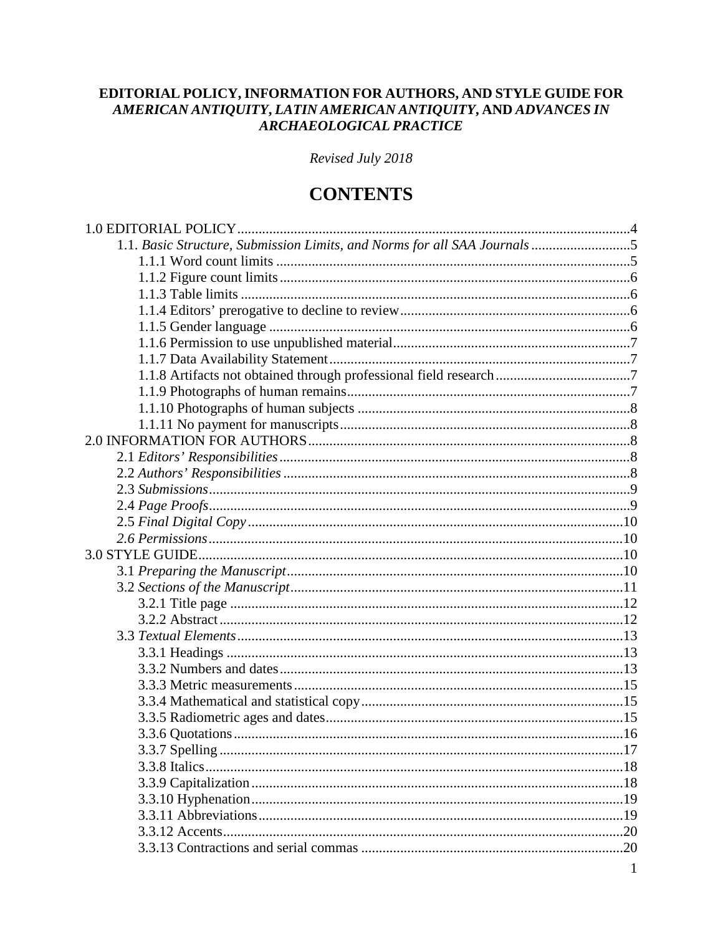### EDITORIAL POLICY, INFORMATION FOR AUTHORS, AND STYLE GUIDE FOR AMERICAN ANTIQUITY, LATIN AMERICAN ANTIQUITY, AND ADVANCES IN ARCHAEOLOGICAL PRACTICE

Revised July 2018

## **CONTENTS**

| 1.1. Basic Structure, Submission Limits, and Norms for all SAA Journals 5 |  |
|---------------------------------------------------------------------------|--|
|                                                                           |  |
|                                                                           |  |
|                                                                           |  |
|                                                                           |  |
|                                                                           |  |
|                                                                           |  |
|                                                                           |  |
|                                                                           |  |
|                                                                           |  |
|                                                                           |  |
|                                                                           |  |
|                                                                           |  |
|                                                                           |  |
|                                                                           |  |
|                                                                           |  |
|                                                                           |  |
|                                                                           |  |
|                                                                           |  |
|                                                                           |  |
|                                                                           |  |
|                                                                           |  |
|                                                                           |  |
|                                                                           |  |
|                                                                           |  |
|                                                                           |  |
|                                                                           |  |
|                                                                           |  |
|                                                                           |  |
|                                                                           |  |
|                                                                           |  |
|                                                                           |  |
|                                                                           |  |
|                                                                           |  |
|                                                                           |  |
|                                                                           |  |
|                                                                           |  |
|                                                                           |  |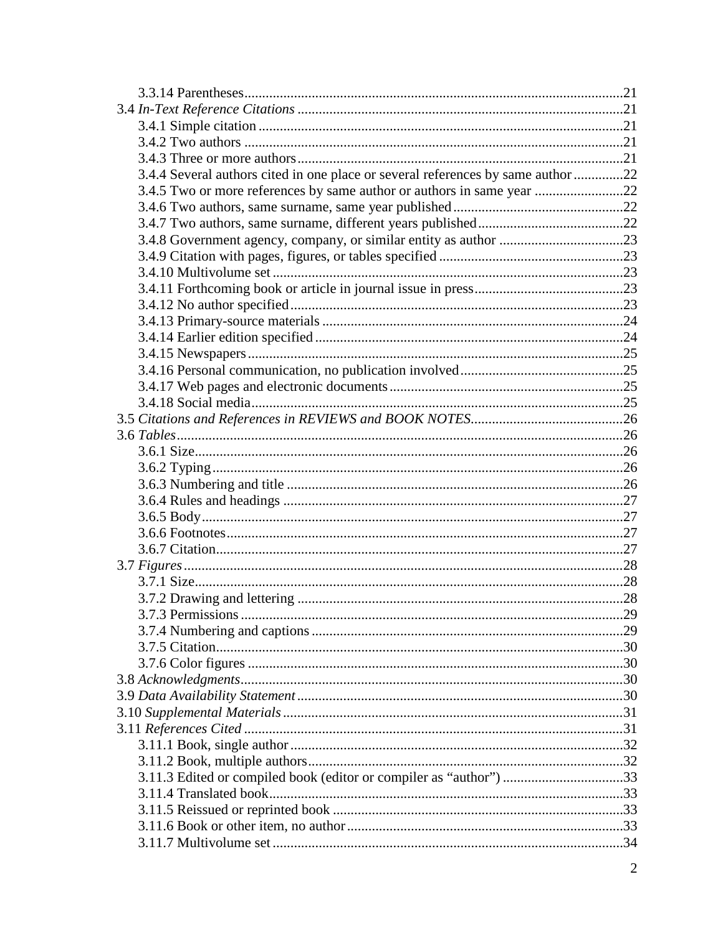| 3.4.4 Several authors cited in one place or several references by same author 22 |  |
|----------------------------------------------------------------------------------|--|
| 3.4.5 Two or more references by same author or authors in same year 22           |  |
|                                                                                  |  |
|                                                                                  |  |
|                                                                                  |  |
|                                                                                  |  |
|                                                                                  |  |
|                                                                                  |  |
|                                                                                  |  |
|                                                                                  |  |
|                                                                                  |  |
|                                                                                  |  |
|                                                                                  |  |
|                                                                                  |  |
|                                                                                  |  |
|                                                                                  |  |
|                                                                                  |  |
|                                                                                  |  |
|                                                                                  |  |
|                                                                                  |  |
|                                                                                  |  |
|                                                                                  |  |
|                                                                                  |  |
|                                                                                  |  |
|                                                                                  |  |
|                                                                                  |  |
|                                                                                  |  |
|                                                                                  |  |
|                                                                                  |  |
|                                                                                  |  |
|                                                                                  |  |
|                                                                                  |  |
|                                                                                  |  |
|                                                                                  |  |
|                                                                                  |  |
|                                                                                  |  |
|                                                                                  |  |
| 3.11.3 Edited or compiled book (editor or compiler as "author") 33               |  |
|                                                                                  |  |
|                                                                                  |  |
|                                                                                  |  |
|                                                                                  |  |
|                                                                                  |  |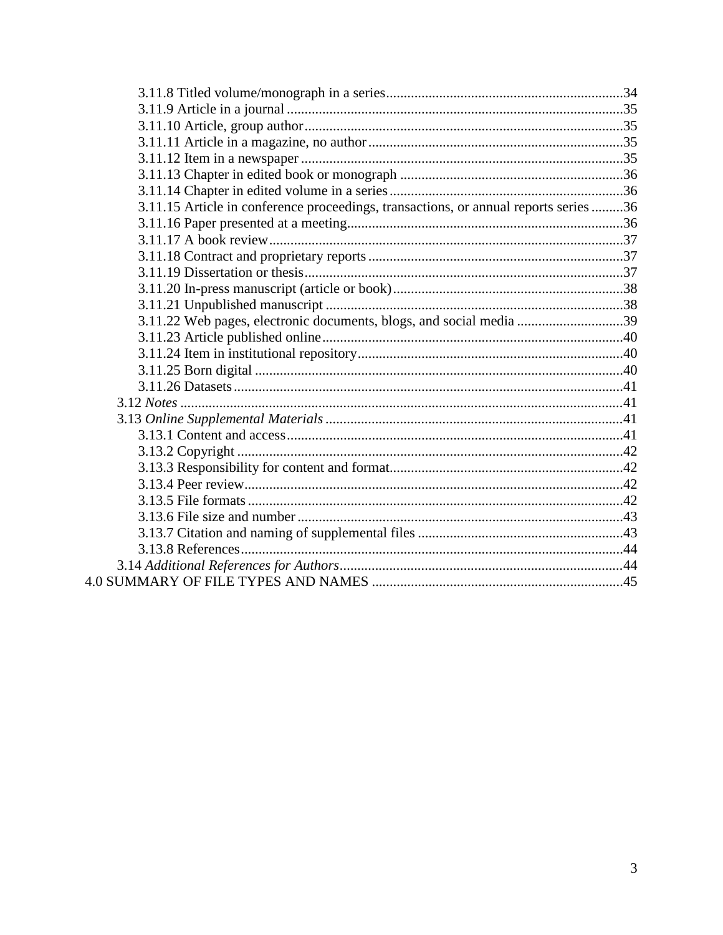| 3.11.15 Article in conference proceedings, transactions, or annual reports series 36 |  |
|--------------------------------------------------------------------------------------|--|
|                                                                                      |  |
|                                                                                      |  |
|                                                                                      |  |
|                                                                                      |  |
|                                                                                      |  |
|                                                                                      |  |
| 3.11.22 Web pages, electronic documents, blogs, and social media 39                  |  |
|                                                                                      |  |
|                                                                                      |  |
|                                                                                      |  |
|                                                                                      |  |
|                                                                                      |  |
|                                                                                      |  |
|                                                                                      |  |
|                                                                                      |  |
|                                                                                      |  |
|                                                                                      |  |
|                                                                                      |  |
|                                                                                      |  |
|                                                                                      |  |
|                                                                                      |  |
|                                                                                      |  |
|                                                                                      |  |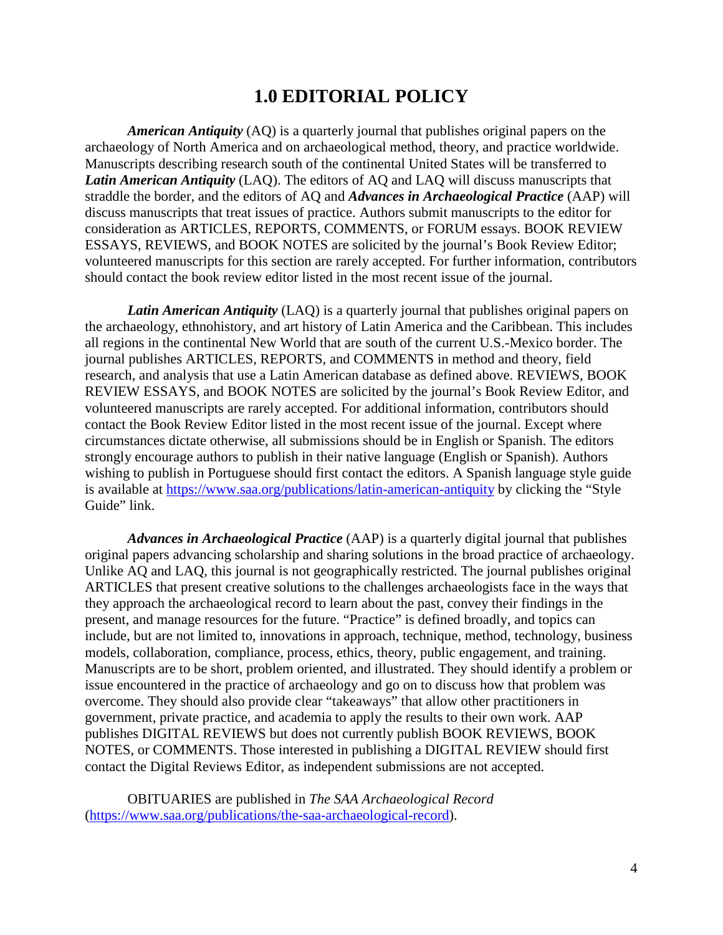## **1.0 EDITORIAL POLICY**

*American Antiquity* (AQ) is a quarterly journal that publishes original papers on the archaeology of North America and on archaeological method, theory, and practice worldwide. Manuscripts describing research south of the continental United States will be transferred to *Latin American Antiquity* (LAQ). The editors of AQ and LAQ will discuss manuscripts that straddle the border, and the editors of AQ and *Advances in Archaeological Practice* (AAP) will discuss manuscripts that treat issues of practice. Authors submit manuscripts to the editor for consideration as ARTICLES, REPORTS, COMMENTS, or FORUM essays. BOOK REVIEW ESSAYS, REVIEWS, and BOOK NOTES are solicited by the journal's Book Review Editor; volunteered manuscripts for this section are rarely accepted. For further information, contributors should contact the book review editor listed in the most recent issue of the journal.

*Latin American Antiquity* (LAQ) is a quarterly journal that publishes original papers on the archaeology, ethnohistory, and art history of Latin America and the Caribbean. This includes all regions in the continental New World that are south of the current U.S.-Mexico border. The journal publishes ARTICLES, REPORTS, and COMMENTS in method and theory, field research, and analysis that use a Latin American database as defined above. REVIEWS, BOOK REVIEW ESSAYS, and BOOK NOTES are solicited by the journal's Book Review Editor, and volunteered manuscripts are rarely accepted. For additional information, contributors should contact the Book Review Editor listed in the most recent issue of the journal. Except where circumstances dictate otherwise, all submissions should be in English or Spanish. The editors strongly encourage authors to publish in their native language (English or Spanish). Authors wishing to publish in Portuguese should first contact the editors. A Spanish language style guide is available at<https://www.saa.org/publications/latin-american-antiquity> by clicking the "Style Guide" link.

*Advances in Archaeological Practice* (AAP) is a quarterly digital journal that publishes original papers advancing scholarship and sharing solutions in the broad practice of archaeology. Unlike AQ and LAQ, this journal is not geographically restricted. The journal publishes original ARTICLES that present creative solutions to the challenges archaeologists face in the ways that they approach the archaeological record to learn about the past, convey their findings in the present, and manage resources for the future. "Practice" is defined broadly, and topics can include, but are not limited to, innovations in approach, technique, method, technology, business models, collaboration, compliance, process, ethics, theory, public engagement, and training. Manuscripts are to be short, problem oriented, and illustrated. They should identify a problem or issue encountered in the practice of archaeology and go on to discuss how that problem was overcome. They should also provide clear "takeaways" that allow other practitioners in government, private practice, and academia to apply the results to their own work. AAP publishes DIGITAL REVIEWS but does not currently publish BOOK REVIEWS, BOOK NOTES, or COMMENTS. Those interested in publishing a DIGITAL REVIEW should first contact the Digital Reviews Editor, as independent submissions are not accepted.

OBITUARIES are published in *The SAA Archaeological Record* [\(https://www.saa.org/publications/the-saa-archaeological-record\)](https://www.saa.org/publications/the-saa-archaeological-record).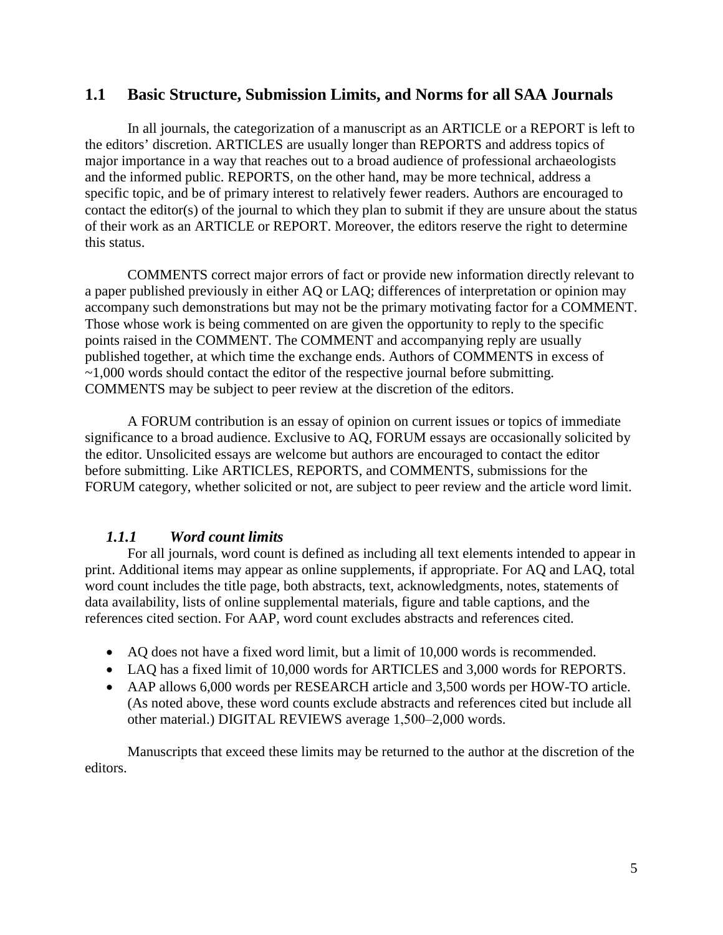### **1.1 Basic Structure, Submission Limits, and Norms for all SAA Journals**

In all journals, the categorization of a manuscript as an ARTICLE or a REPORT is left to the editors' discretion. ARTICLES are usually longer than REPORTS and address topics of major importance in a way that reaches out to a broad audience of professional archaeologists and the informed public. REPORTS, on the other hand, may be more technical, address a specific topic, and be of primary interest to relatively fewer readers. Authors are encouraged to contact the editor(s) of the journal to which they plan to submit if they are unsure about the status of their work as an ARTICLE or REPORT. Moreover, the editors reserve the right to determine this status.

COMMENTS correct major errors of fact or provide new information directly relevant to a paper published previously in either AQ or LAQ; differences of interpretation or opinion may accompany such demonstrations but may not be the primary motivating factor for a COMMENT. Those whose work is being commented on are given the opportunity to reply to the specific points raised in the COMMENT. The COMMENT and accompanying reply are usually published together, at which time the exchange ends. Authors of COMMENTS in excess of ~1,000 words should contact the editor of the respective journal before submitting. COMMENTS may be subject to peer review at the discretion of the editors.

A FORUM contribution is an essay of opinion on current issues or topics of immediate significance to a broad audience. Exclusive to AQ, FORUM essays are occasionally solicited by the editor. Unsolicited essays are welcome but authors are encouraged to contact the editor before submitting. Like ARTICLES, REPORTS, and COMMENTS, submissions for the FORUM category, whether solicited or not, are subject to peer review and the article word limit.

### *1.1.1 Word count limits*

For all journals, word count is defined as including all text elements intended to appear in print. Additional items may appear as online supplements, if appropriate. For AQ and LAQ, total word count includes the title page, both abstracts, text, acknowledgments, notes, statements of data availability, lists of online supplemental materials, figure and table captions, and the references cited section. For AAP, word count excludes abstracts and references cited.

- AQ does not have a fixed word limit, but a limit of 10,000 words is recommended.
- LAQ has a fixed limit of 10,000 words for ARTICLES and 3,000 words for REPORTS.
- AAP allows 6,000 words per RESEARCH article and 3,500 words per HOW-TO article. (As noted above, these word counts exclude abstracts and references cited but include all other material.) DIGITAL REVIEWS average 1,500–2,000 words.

Manuscripts that exceed these limits may be returned to the author at the discretion of the editors.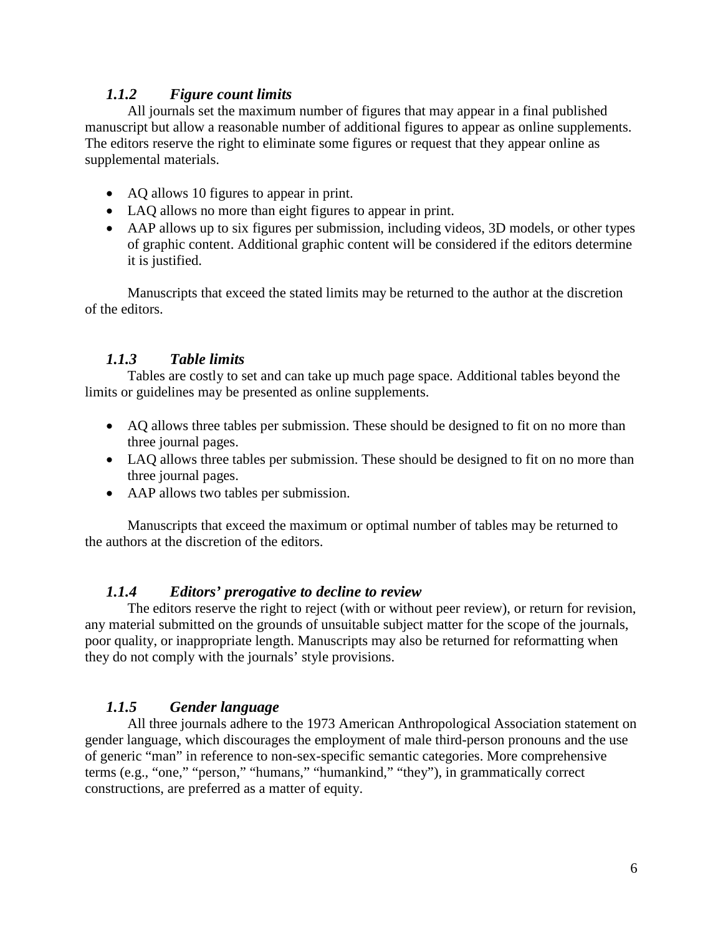### *1.1.2 Figure count limits*

All journals set the maximum number of figures that may appear in a final published manuscript but allow a reasonable number of additional figures to appear as online supplements. The editors reserve the right to eliminate some figures or request that they appear online as supplemental materials.

- AQ allows 10 figures to appear in print.
- LAQ allows no more than eight figures to appear in print.
- AAP allows up to six figures per submission, including videos, 3D models, or other types of graphic content. Additional graphic content will be considered if the editors determine it is justified.

Manuscripts that exceed the stated limits may be returned to the author at the discretion of the editors.

### *1.1.3 Table limits*

Tables are costly to set and can take up much page space. Additional tables beyond the limits or guidelines may be presented as online supplements.

- AQ allows three tables per submission. These should be designed to fit on no more than three journal pages.
- LAQ allows three tables per submission. These should be designed to fit on no more than three journal pages.
- AAP allows two tables per submission.

Manuscripts that exceed the maximum or optimal number of tables may be returned to the authors at the discretion of the editors.

### *1.1.4 Editors' prerogative to decline to review*

The editors reserve the right to reject (with or without peer review), or return for revision, any material submitted on the grounds of unsuitable subject matter for the scope of the journals, poor quality, or inappropriate length. Manuscripts may also be returned for reformatting when they do not comply with the journals' style provisions.

### *1.1.5 Gender language*

All three journals adhere to the 1973 American Anthropological Association statement on gender language, which discourages the employment of male third-person pronouns and the use of generic "man" in reference to non-sex-specific semantic categories. More comprehensive terms (e.g., "one," "person," "humans," "humankind," "they"), in grammatically correct constructions, are preferred as a matter of equity.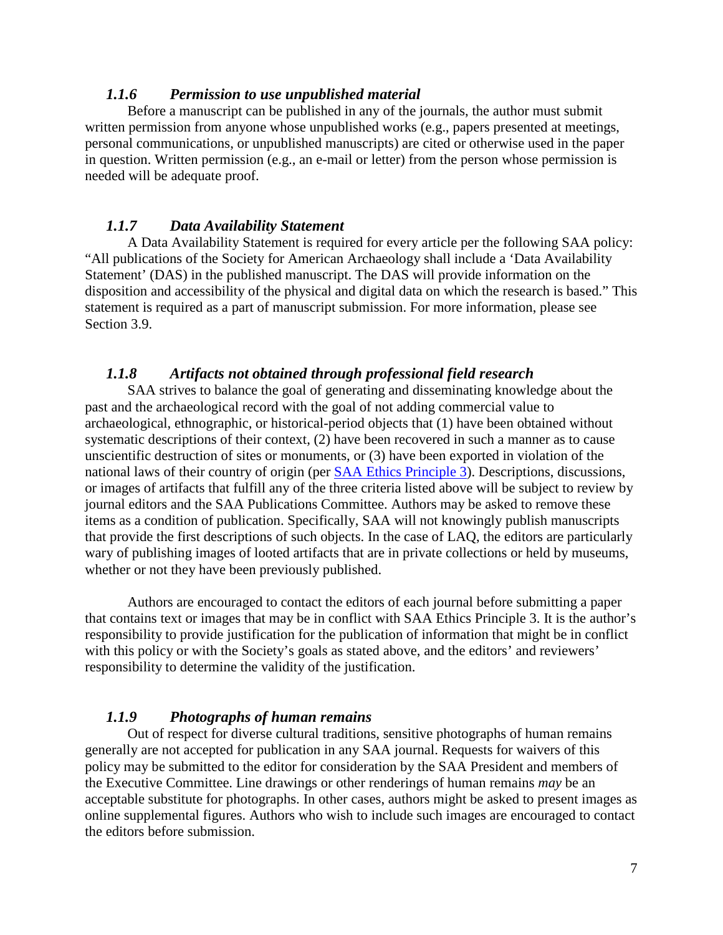#### *1.1.6 Permission to use unpublished material*

Before a manuscript can be published in any of the journals, the author must submit written permission from anyone whose unpublished works (e.g., papers presented at meetings, personal communications, or unpublished manuscripts) are cited or otherwise used in the paper in question. Written permission (e.g., an e-mail or letter) from the person whose permission is needed will be adequate proof.

#### *1.1.7 Data Availability Statement*

A Data Availability Statement is required for every article per the following SAA policy: "All publications of the Society for American Archaeology shall include a 'Data Availability Statement' (DAS) in the published manuscript. The DAS will provide information on the disposition and accessibility of the physical and digital data on which the research is based." This statement is required as a part of manuscript submission. For more information, please see Section 3.9.

#### *1.1.8 Artifacts not obtained through professional field research*

SAA strives to balance the goal of generating and disseminating knowledge about the past and the archaeological record with the goal of not adding commercial value to archaeological, ethnographic, or historical-period objects that (1) have been obtained without systematic descriptions of their context, (2) have been recovered in such a manner as to cause unscientific destruction of sites or monuments, or (3) have been exported in violation of the national laws of their country of origin (per [SAA Ethics Principle 3\)](https://www.saa.org/career-practice/ethics-in-professional-archaeology). Descriptions, discussions, or images of artifacts that fulfill any of the three criteria listed above will be subject to review by journal editors and the SAA Publications Committee. Authors may be asked to remove these items as a condition of publication. Specifically, SAA will not knowingly publish manuscripts that provide the first descriptions of such objects. In the case of LAQ, the editors are particularly wary of publishing images of looted artifacts that are in private collections or held by museums, whether or not they have been previously published.

Authors are encouraged to contact the editors of each journal before submitting a paper that contains text or images that may be in conflict with SAA Ethics Principle 3. It is the author's responsibility to provide justification for the publication of information that might be in conflict with this policy or with the Society's goals as stated above, and the editors' and reviewers' responsibility to determine the validity of the justification.

#### *1.1.9 Photographs of human remains*

Out of respect for diverse cultural traditions, sensitive photographs of human remains generally are not accepted for publication in any SAA journal. Requests for waivers of this policy may be submitted to the editor for consideration by the SAA President and members of the Executive Committee. Line drawings or other renderings of human remains *may* be an acceptable substitute for photographs. In other cases, authors might be asked to present images as online supplemental figures. Authors who wish to include such images are encouraged to contact the editors before submission.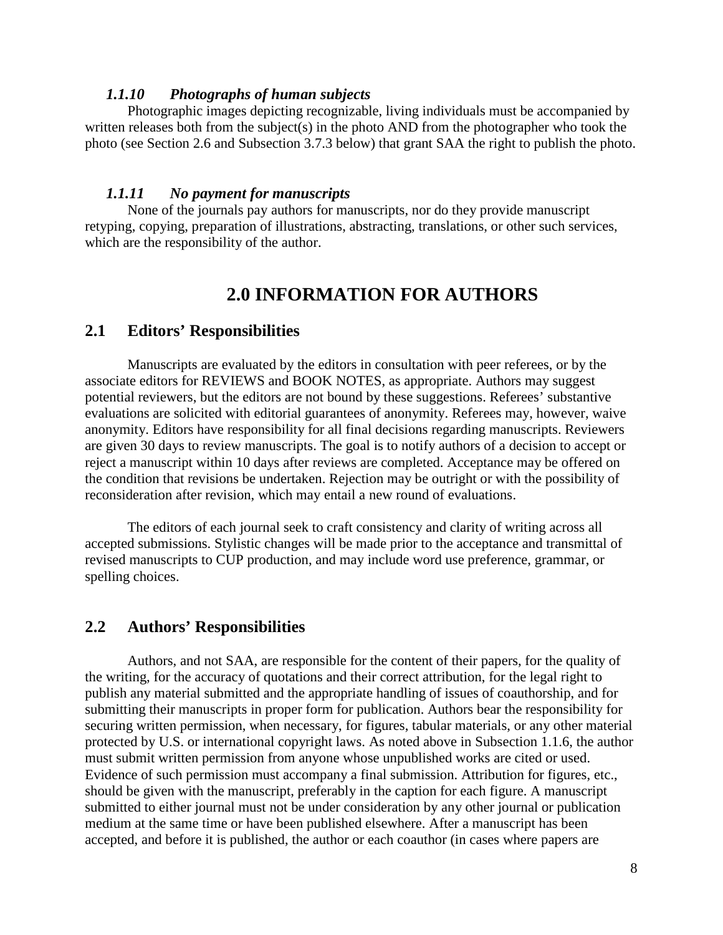#### *1.1.10 Photographs of human subjects*

Photographic images depicting recognizable, living individuals must be accompanied by written releases both from the subject(s) in the photo AND from the photographer who took the photo (see Section 2.6 and Subsection 3.7.3 below) that grant SAA the right to publish the photo.

#### *1.1.11 No payment for manuscripts*

None of the journals pay authors for manuscripts, nor do they provide manuscript retyping, copying, preparation of illustrations, abstracting, translations, or other such services, which are the responsibility of the author.

### **2.0 INFORMATION FOR AUTHORS**

#### **2.1 Editors' Responsibilities**

Manuscripts are evaluated by the editors in consultation with peer referees, or by the associate editors for REVIEWS and BOOK NOTES, as appropriate. Authors may suggest potential reviewers, but the editors are not bound by these suggestions. Referees' substantive evaluations are solicited with editorial guarantees of anonymity. Referees may, however, waive anonymity. Editors have responsibility for all final decisions regarding manuscripts. Reviewers are given 30 days to review manuscripts. The goal is to notify authors of a decision to accept or reject a manuscript within 10 days after reviews are completed. Acceptance may be offered on the condition that revisions be undertaken. Rejection may be outright or with the possibility of reconsideration after revision, which may entail a new round of evaluations.

The editors of each journal seek to craft consistency and clarity of writing across all accepted submissions. Stylistic changes will be made prior to the acceptance and transmittal of revised manuscripts to CUP production, and may include word use preference, grammar, or spelling choices.

#### **2.2 Authors' Responsibilities**

Authors, and not SAA, are responsible for the content of their papers, for the quality of the writing, for the accuracy of quotations and their correct attribution, for the legal right to publish any material submitted and the appropriate handling of issues of coauthorship, and for submitting their manuscripts in proper form for publication. Authors bear the responsibility for securing written permission, when necessary, for figures, tabular materials, or any other material protected by U.S. or international copyright laws. As noted above in Subsection 1.1.6, the author must submit written permission from anyone whose unpublished works are cited or used. Evidence of such permission must accompany a final submission. Attribution for figures, etc., should be given with the manuscript, preferably in the caption for each figure. A manuscript submitted to either journal must not be under consideration by any other journal or publication medium at the same time or have been published elsewhere. After a manuscript has been accepted, and before it is published, the author or each coauthor (in cases where papers are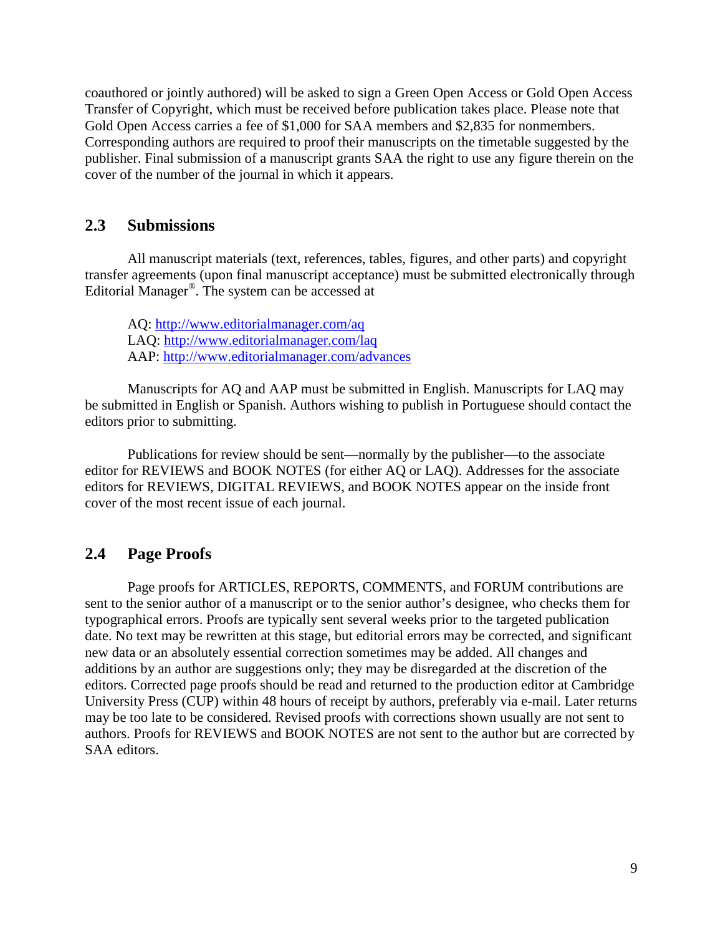coauthored or jointly authored) will be asked to sign a Green Open Access or Gold Open Access Transfer of Copyright, which must be received before publication takes place. Please note that Gold Open Access carries a fee of \$1,000 for SAA members and \$2,835 for nonmembers. Corresponding authors are required to proof their manuscripts on the timetable suggested by the publisher. Final submission of a manuscript grants SAA the right to use any figure therein on the cover of the number of the journal in which it appears.

### **2.3 Submissions**

All manuscript materials (text, references, tables, figures, and other parts) and copyright transfer agreements (upon final manuscript acceptance) must be submitted electronically through Editorial Manager®. The system can be accessed at

AQ:<http://www.editorialmanager.com/aq> LAQ:<http://www.editorialmanager.com/laq> AAP:<http://www.editorialmanager.com/advances>

Manuscripts for AQ and AAP must be submitted in English. Manuscripts for LAQ may be submitted in English or Spanish. Authors wishing to publish in Portuguese should contact the editors prior to submitting.

Publications for review should be sent—normally by the publisher—to the associate editor for REVIEWS and BOOK NOTES (for either AQ or LAQ). Addresses for the associate editors for REVIEWS, DIGITAL REVIEWS, and BOOK NOTES appear on the inside front cover of the most recent issue of each journal.

### **2.4 Page Proofs**

Page proofs for ARTICLES, REPORTS, COMMENTS, and FORUM contributions are sent to the senior author of a manuscript or to the senior author's designee, who checks them for typographical errors. Proofs are typically sent several weeks prior to the targeted publication date. No text may be rewritten at this stage, but editorial errors may be corrected, and significant new data or an absolutely essential correction sometimes may be added. All changes and additions by an author are suggestions only; they may be disregarded at the discretion of the editors. Corrected page proofs should be read and returned to the production editor at Cambridge University Press (CUP) within 48 hours of receipt by authors, preferably via e-mail. Later returns may be too late to be considered. Revised proofs with corrections shown usually are not sent to authors. Proofs for REVIEWS and BOOK NOTES are not sent to the author but are corrected by SAA editors.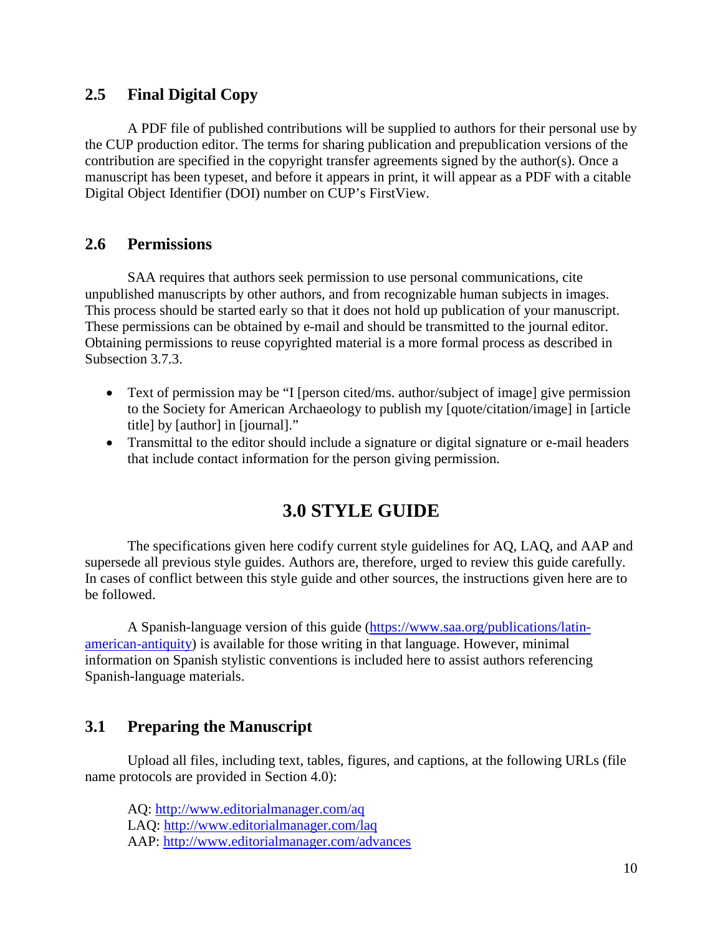### **2.5 Final Digital Copy**

A PDF file of published contributions will be supplied to authors for their personal use by the CUP production editor. The terms for sharing publication and prepublication versions of the contribution are specified in the copyright transfer agreements signed by the author(s). Once a manuscript has been typeset, and before it appears in print, it will appear as a PDF with a citable Digital Object Identifier (DOI) number on CUP's FirstView.

### **2.6 Permissions**

SAA requires that authors seek permission to use personal communications, cite unpublished manuscripts by other authors, and from recognizable human subjects in images. This process should be started early so that it does not hold up publication of your manuscript. These permissions can be obtained by e-mail and should be transmitted to the journal editor. Obtaining permissions to reuse copyrighted material is a more formal process as described in Subsection 3.7.3.

- Text of permission may be "I [person cited/ms. author/subject of image] give permission to the Society for American Archaeology to publish my [quote/citation/image] in [article title] by [author] in [journal]."
- Transmittal to the editor should include a signature or digital signature or e-mail headers that include contact information for the person giving permission.

## **3.0 STYLE GUIDE**

The specifications given here codify current style guidelines for AQ, LAQ, and AAP and supersede all previous style guides. Authors are, therefore, urged to review this guide carefully. In cases of conflict between this style guide and other sources, the instructions given here are to be followed.

A Spanish-language version of this guide [\(https://www.saa.org/publications/latin](https://www.saa.org/publications/latin-american-antiquity)[american-antiquity\)](https://www.saa.org/publications/latin-american-antiquity) is available for those writing in that language. However, minimal information on Spanish stylistic conventions is included here to assist authors referencing Spanish-language materials.

## **3.1 Preparing the Manuscript**

Upload all files, including text, tables, figures, and captions, at the following URLs (file name protocols are provided in Section 4.0):

AQ:<http://www.editorialmanager.com/aq> LAQ:<http://www.editorialmanager.com/laq> AAP:<http://www.editorialmanager.com/advances>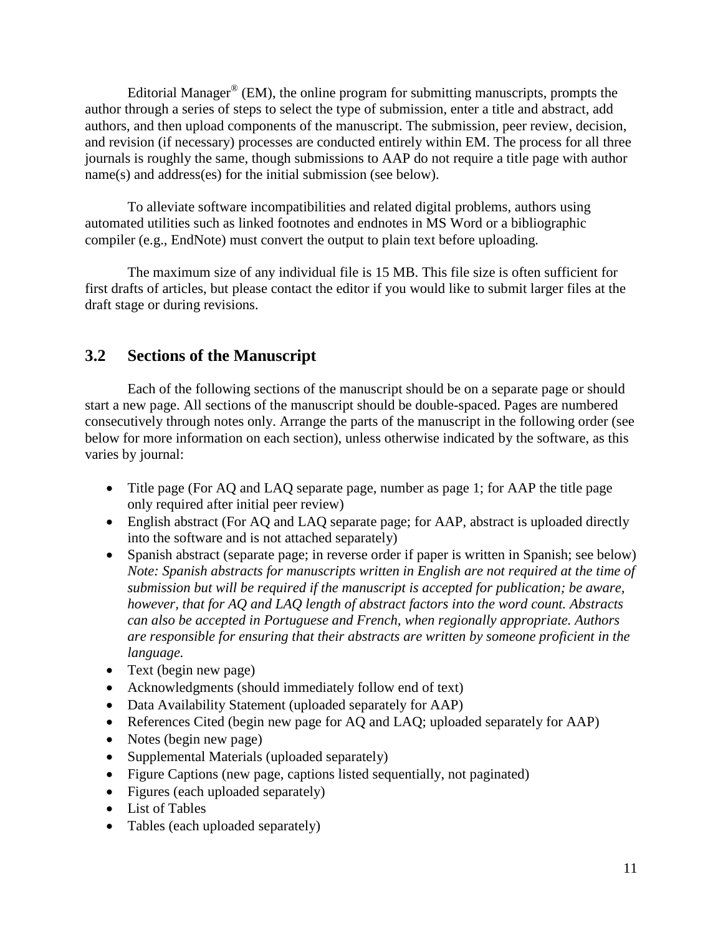Editorial Manager<sup>®</sup> (EM), the online program for submitting manuscripts, prompts the author through a series of steps to select the type of submission, enter a title and abstract, add authors, and then upload components of the manuscript. The submission, peer review, decision, and revision (if necessary) processes are conducted entirely within EM. The process for all three journals is roughly the same, though submissions to AAP do not require a title page with author name(s) and address(es) for the initial submission (see below).

To alleviate software incompatibilities and related digital problems, authors using automated utilities such as linked footnotes and endnotes in MS Word or a bibliographic compiler (e.g., EndNote) must convert the output to plain text before uploading.

The maximum size of any individual file is 15 MB. This file size is often sufficient for first drafts of articles, but please contact the editor if you would like to submit larger files at the draft stage or during revisions.

## **3.2 Sections of the Manuscript**

Each of the following sections of the manuscript should be on a separate page or should start a new page. All sections of the manuscript should be double-spaced. Pages are numbered consecutively through notes only. Arrange the parts of the manuscript in the following order (see below for more information on each section), unless otherwise indicated by the software, as this varies by journal:

- Title page (For AQ and LAQ separate page, number as page 1; for AAP the title page only required after initial peer review)
- English abstract (For AQ and LAQ separate page; for AAP, abstract is uploaded directly into the software and is not attached separately)
- Spanish abstract (separate page; in reverse order if paper is written in Spanish; see below) *Note: Spanish abstracts for manuscripts written in English are not required at the time of submission but will be required if the manuscript is accepted for publication; be aware, however, that for AQ and LAQ length of abstract factors into the word count. Abstracts can also be accepted in Portuguese and French, when regionally appropriate. Authors are responsible for ensuring that their abstracts are written by someone proficient in the language.*
- Text (begin new page)
- Acknowledgments (should immediately follow end of text)
- Data Availability Statement (uploaded separately for AAP)
- References Cited (begin new page for AQ and LAQ; uploaded separately for AAP)
- Notes (begin new page)
- Supplemental Materials (uploaded separately)
- Figure Captions (new page, captions listed sequentially, not paginated)
- Figures (each uploaded separately)
- List of Tables
- Tables (each uploaded separately)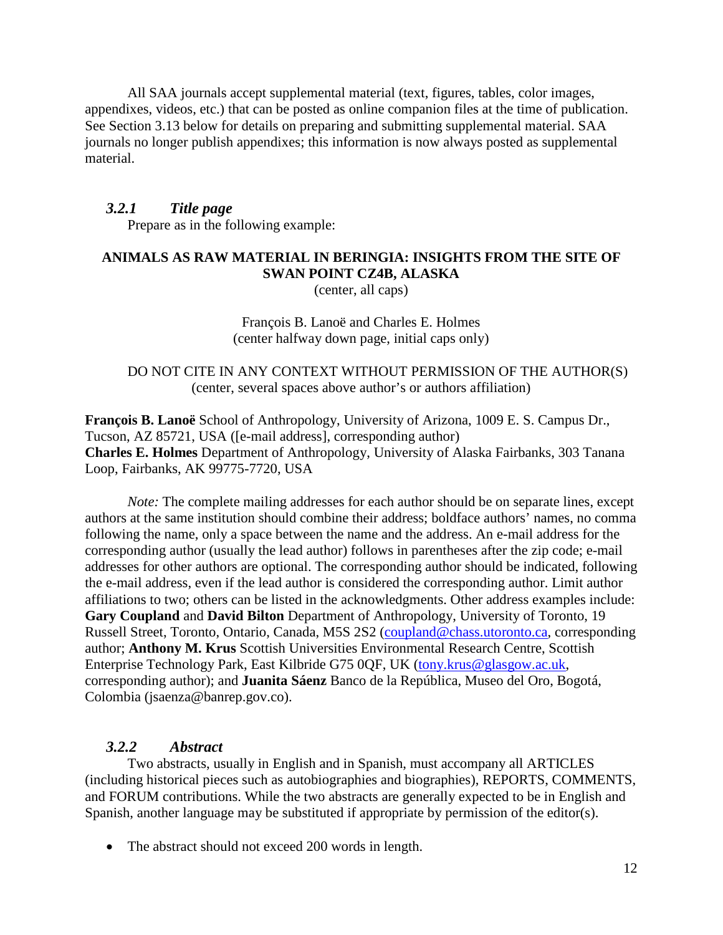All SAA journals accept supplemental material (text, figures, tables, color images, appendixes, videos, etc.) that can be posted as online companion files at the time of publication. See Section 3.13 below for details on preparing and submitting supplemental material. SAA journals no longer publish appendixes; this information is now always posted as supplemental material.

#### *3.2.1 Title page*

Prepare as in the following example:

### **ANIMALS AS RAW MATERIAL IN BERINGIA: INSIGHTS FROM THE SITE OF SWAN POINT CZ4B, ALASKA**

(center, all caps)

François B. Lanoë and Charles E. Holmes (center halfway down page, initial caps only)

### DO NOT CITE IN ANY CONTEXT WITHOUT PERMISSION OF THE AUTHOR(S) (center, several spaces above author's or authors affiliation)

**François B. Lanoë** School of Anthropology, University of Arizona, 1009 E. S. Campus Dr., Tucson, AZ 85721, USA [\(\[e-mail](mailto:lanoe@email.arizona.edu) address], corresponding author) **Charles E. Holmes** Department of Anthropology, University of Alaska Fairbanks, 303 Tanana Loop, Fairbanks, AK 99775-7720, USA

*Note:* The complete mailing addresses for each author should be on separate lines, except authors at the same institution should combine their address; boldface authors' names, no comma following the name, only a space between the name and the address. An e-mail address for the corresponding author (usually the lead author) follows in parentheses after the zip code; e-mail addresses for other authors are optional. The corresponding author should be indicated, following the e-mail address, even if the lead author is considered the corresponding author. Limit author affiliations to two; others can be listed in the acknowledgments. Other address examples include: **Gary Coupland** and **David Bilton** Department of Anthropology, University of Toronto, 19 Russell Street, Toronto, Ontario, Canada, M5S 2S2 [\(coupland@chass.utoronto.ca,](mailto:coupland@chass.utoronto.ca) corresponding author; **Anthony M. Krus** Scottish Universities Environmental Research Centre, Scottish Enterprise Technology Park, East Kilbride G75 0QF, UK [\(tony.krus@glasgow.ac.uk,](mailto:tony.krus@glasgow.ac.uk) corresponding author); and **Juanita Sáenz** Banco de la República, Museo del Oro, Bogotá, Colombia (jsaenza@banrep.gov.co).

### *3.2.2 Abstract*

Two abstracts, usually in English and in Spanish, must accompany all ARTICLES (including historical pieces such as autobiographies and biographies), REPORTS, COMMENTS, and FORUM contributions. While the two abstracts are generally expected to be in English and Spanish, another language may be substituted if appropriate by permission of the editor(s).

• The abstract should not exceed 200 words in length.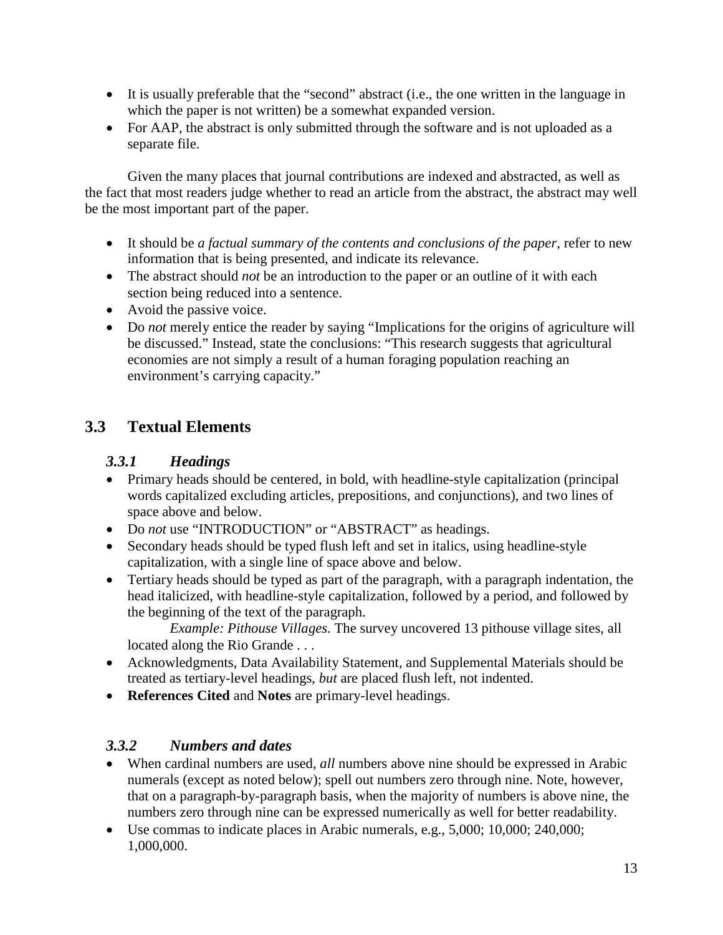- It is usually preferable that the "second" abstract (i.e., the one written in the language in which the paper is not written) be a somewhat expanded version.
- For AAP, the abstract is only submitted through the software and is not uploaded as a separate file.

Given the many places that journal contributions are indexed and abstracted, as well as the fact that most readers judge whether to read an article from the abstract, the abstract may well be the most important part of the paper.

- It should be *a factual summary of the contents and conclusions of the paper*, refer to new information that is being presented, and indicate its relevance.
- The abstract should *not* be an introduction to the paper or an outline of it with each section being reduced into a sentence.
- Avoid the passive voice.
- Do *not* merely entice the reader by saying "Implications for the origins of agriculture will be discussed." Instead, state the conclusions: "This research suggests that agricultural economies are not simply a result of a human foraging population reaching an environment's carrying capacity."

## **3.3 Textual Elements**

## *3.3.1 Headings*

- Primary heads should be centered, in bold, with headline-style capitalization (principal words capitalized excluding articles, prepositions, and conjunctions), and two lines of space above and below.
- Do *not* use "INTRODUCTION" or "ABSTRACT" as headings.
- Secondary heads should be typed flush left and set in italics, using headline-style capitalization, with a single line of space above and below.
- Tertiary heads should be typed as part of the paragraph, with a paragraph indentation, the head italicized, with headline-style capitalization, followed by a period, and followed by the beginning of the text of the paragraph.

*Example: Pithouse Villages*. The survey uncovered 13 pithouse village sites, all located along the Rio Grande . . .

- Acknowledgments, Data Availability Statement, and Supplemental Materials should be treated as tertiary-level headings, *but* are placed flush left, not indented.
- **References Cited** and **Notes** are primary-level headings.

## *3.3.2 Numbers and dates*

- When cardinal numbers are used, *all* numbers above nine should be expressed in Arabic numerals (except as noted below); spell out numbers zero through nine. Note, however, that on a paragraph-by-paragraph basis, when the majority of numbers is above nine, the numbers zero through nine can be expressed numerically as well for better readability.
- Use commas to indicate places in Arabic numerals, e.g., 5,000; 10,000; 240,000; 1,000,000.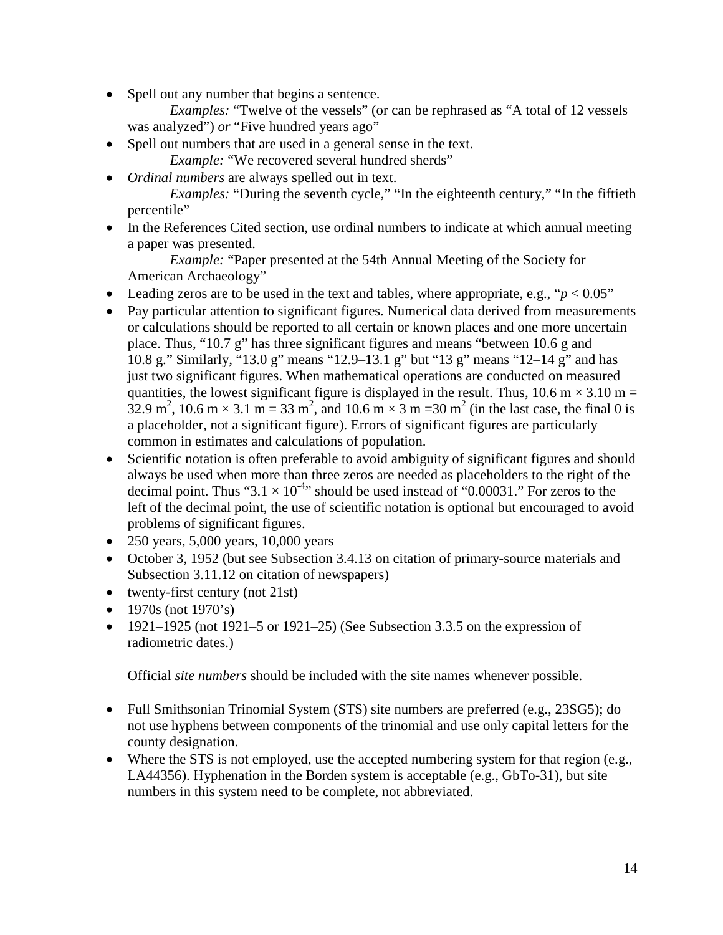• Spell out any number that begins a sentence.

*Examples:* "Twelve of the vessels" (or can be rephrased as "A total of 12 vessels was analyzed") *or* "Five hundred years ago"

• Spell out numbers that are used in a general sense in the text.

*Example:* "We recovered several hundred sherds"

• *Ordinal numbers* are always spelled out in text.

*Examples:* "During the seventh cycle," "In the eighteenth century," "In the fiftieth percentile"

• In the References Cited section, use ordinal numbers to indicate at which annual meeting a paper was presented.

*Example:* "Paper presented at the 54th Annual Meeting of the Society for American Archaeology"

- Leading zeros are to be used in the text and tables, where appropriate, e.g., " $p < 0.05$ "
- Pay particular attention to significant figures. Numerical data derived from measurements or calculations should be reported to all certain or known places and one more uncertain place. Thus, "10.7 g" has three significant figures and means "between 10.6 g and 10.8 g." Similarly, "13.0 g" means "12.9‒13.1 g" but "13 g" means "12‒14 g" and has just two significant figures. When mathematical operations are conducted on measured quantities, the lowest significant figure is displayed in the result. Thus,  $10.6$  m  $\times$  3.10 m =  $32.9 \text{ m}^2$ , 10.6 m × 3.1 m = 33 m<sup>2</sup>, and 10.6 m × 3 m = 30 m<sup>2</sup> (in the last case, the final 0 is a placeholder, not a significant figure). Errors of significant figures are particularly common in estimates and calculations of population.
- Scientific notation is often preferable to avoid ambiguity of significant figures and should always be used when more than three zeros are needed as placeholders to the right of the decimal point. Thus "3.1  $\times$  10<sup>-4</sup>" should be used instead of "0.00031." For zeros to the left of the decimal point, the use of scientific notation is optional but encouraged to avoid problems of significant figures.
- 250 years, 5,000 years, 10,000 years
- October 3, 1952 (but see Subsection 3.4.13 on citation of primary-source materials and Subsection 3.11.12 on citation of newspapers)
- twenty-first century (not 21st)
- 1970s (not  $1970$ 's)
- $\bullet$  1921–1925 (not 1921–5 or 1921–25) (See Subsection 3.3.5 on the expression of radiometric dates.)

Official *site numbers* should be included with the site names whenever possible.

- Full Smithsonian Trinomial System (STS) site numbers are preferred (e.g., 23SG5); do not use hyphens between components of the trinomial and use only capital letters for the county designation.
- Where the STS is not employed, use the accepted numbering system for that region (e.g., LA44356). Hyphenation in the Borden system is acceptable (e.g., GbTo-31), but site numbers in this system need to be complete, not abbreviated.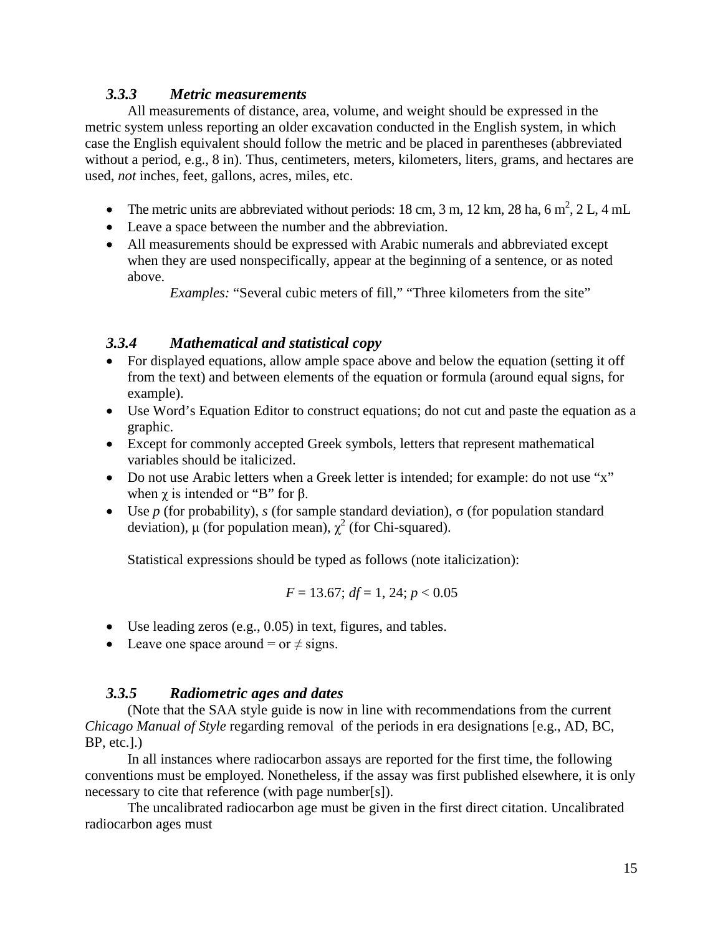### *3.3.3 Metric measurements*

All measurements of distance, area, volume, and weight should be expressed in the metric system unless reporting an older excavation conducted in the English system, in which case the English equivalent should follow the metric and be placed in parentheses (abbreviated without a period, e.g., 8 in). Thus, centimeters, meters, kilometers, liters, grams, and hectares are used, *not* inches, feet, gallons, acres, miles, etc.

- The metric units are abbreviated without periods: 18 cm, 3 m, 12 km, 28 ha, 6 m<sup>2</sup>, 2 L, 4 mL
- Leave a space between the number and the abbreviation.
- All measurements should be expressed with Arabic numerals and abbreviated except when they are used nonspecifically, appear at the beginning of a sentence, or as noted above.

*Examples:* "Several cubic meters of fill," "Three kilometers from the site"

### *3.3.4 Mathematical and statistical copy*

- For displayed equations, allow ample space above and below the equation (setting it off from the text) and between elements of the equation or formula (around equal signs, for example).
- Use Word's Equation Editor to construct equations; do not cut and paste the equation as a graphic.
- Except for commonly accepted Greek symbols, letters that represent mathematical variables should be italicized.
- Do not use Arabic letters when a Greek letter is intended; for example: do not use "x" when  $\gamma$  is intended or "B" for  $\beta$ .
- Use *p* (for probability), *s* (for sample standard deviation), σ (for population standard deviation), μ (for population mean),  $\chi^2$  (for Chi-squared).

Statistical expressions should be typed as follows (note italicization):

$$
F = 13.67; df = 1, 24; p < 0.05
$$

- Use leading zeros (e.g., 0.05) in text, figures, and tables.
- Leave one space around = or  $\neq$  signs.

### *3.3.5 Radiometric ages and dates*

(Note that the SAA style guide is now in line with recommendations from the current *Chicago Manual of Style* regarding removal of the periods in era designations [e.g., AD, BC,  $BP.$  etc.].)

In all instances where radiocarbon assays are reported for the first time, the following conventions must be employed. Nonetheless, if the assay was first published elsewhere, it is only necessary to cite that reference (with page number[s]).

The uncalibrated radiocarbon age must be given in the first direct citation. Uncalibrated radiocarbon ages must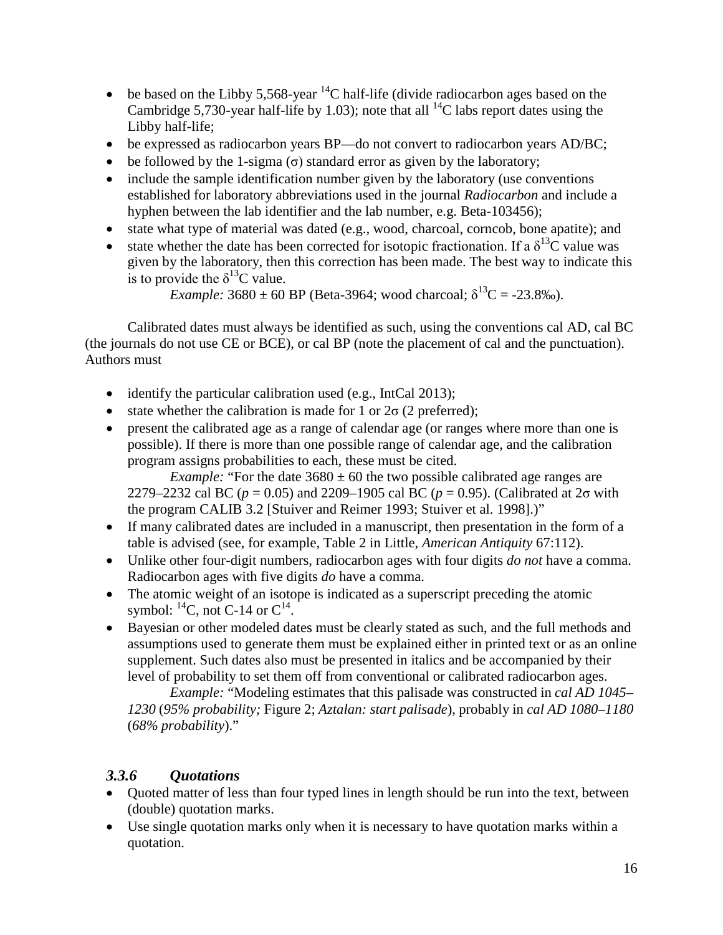- be based on the Libby 5,568-year  ${}^{14}$ C half-life (divide radiocarbon ages based on the Cambridge 5,730-year half-life by 1.03); note that all  $^{14}$ C labs report dates using the Libby half-life;
- be expressed as radiocarbon years BP—do not convert to radiocarbon years AD/BC;
- be followed by the 1-sigma  $(\sigma)$  standard error as given by the laboratory;
- include the sample identification number given by the laboratory (use conventions established for laboratory abbreviations used in the journal *Radiocarbon* and include a hyphen between the lab identifier and the lab number, e.g. Beta-103456);
- state what type of material was dated (e.g., wood, charcoal, corncob, bone apatite); and
- state whether the date has been corrected for isotopic fractionation. If a  $\delta^{13}C$  value was given by the laboratory, then this correction has been made. The best way to indicate this is to provide the  $\delta^{13}$ C value.

*Example:*  $3680 \pm 60$  BP (Beta-3964; wood charcoal;  $\delta^{13}C = -23.8\%$ ).

Calibrated dates must always be identified as such, using the conventions cal AD, cal BC (the journals do not use CE or BCE), or cal BP (note the placement of cal and the punctuation). Authors must

- identify the particular calibration used (e.g., IntCal 2013);
- state whether the calibration is made for 1 or  $2\sigma$  (2 preferred);
- present the calibrated age as a range of calendar age (or ranges where more than one is possible). If there is more than one possible range of calendar age, and the calibration program assigns probabilities to each, these must be cited.

*Example:* "For the date  $3680 \pm 60$  the two possible calibrated age ranges are 2279–2232 cal BC (*p* = 0.05) and 2209–1905 cal BC (*p* = 0.95). (Calibrated at 2σ with the program CALIB 3.2 [Stuiver and Reimer 1993; Stuiver et al. 1998].)"

- If many calibrated dates are included in a manuscript, then presentation in the form of a table is advised (see, for example, Table 2 in Little, *American Antiquity* 67:112).
- Unlike other four-digit numbers, radiocarbon ages with four digits *do not* have a comma. Radiocarbon ages with five digits *do* have a comma.
- The atomic weight of an isotope is indicated as a superscript preceding the atomic symbol:  $^{14}C$ , not C-14 or  $C^{14}$ .
- Bayesian or other modeled dates must be clearly stated as such, and the full methods and assumptions used to generate them must be explained either in printed text or as an online supplement. Such dates also must be presented in italics and be accompanied by their level of probability to set them off from conventional or calibrated radiocarbon ages.

*Example:* "Modeling estimates that this palisade was constructed in *cal AD 1045– 1230* (*95% probability;* Figure 2; *Aztalan: start palisade*), probably in *cal AD 1080–1180* (*68% probability*)."

### *3.3.6 Quotations*

- Quoted matter of less than four typed lines in length should be run into the text, between (double) quotation marks.
- Use single quotation marks only when it is necessary to have quotation marks within a quotation.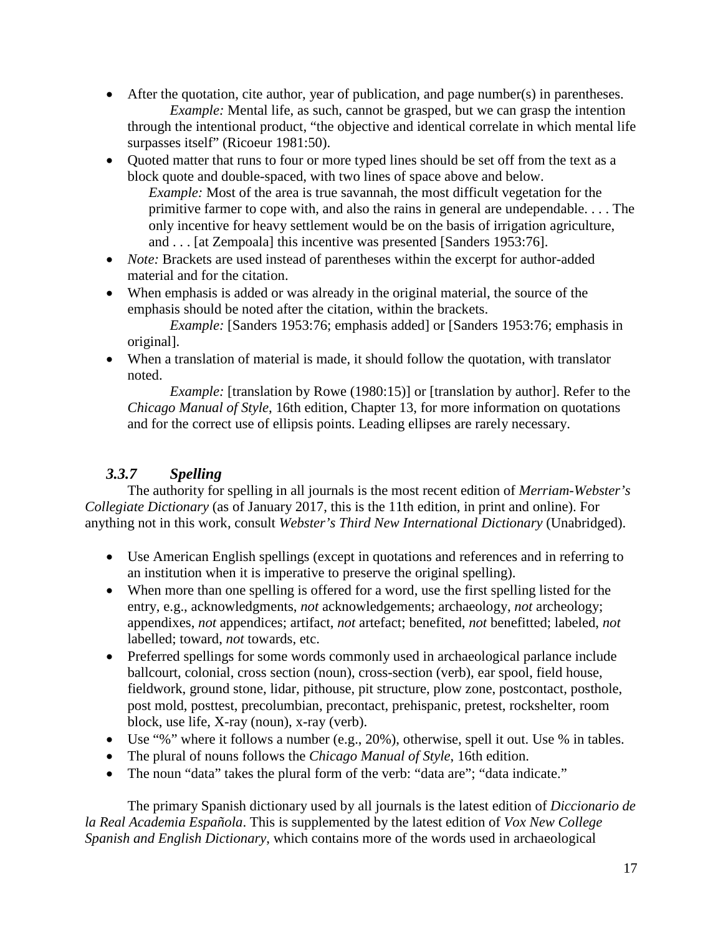- After the quotation, cite author, year of publication, and page number(s) in parentheses. *Example:* Mental life, as such, cannot be grasped, but we can grasp the intention through the intentional product, "the objective and identical correlate in which mental life surpasses itself" (Ricoeur 1981:50).
- Quoted matter that runs to four or more typed lines should be set off from the text as a block quote and double-spaced, with two lines of space above and below. *Example:* Most of the area is true savannah, the most difficult vegetation for the primitive farmer to cope with, and also the rains in general are undependable. . . . The only incentive for heavy settlement would be on the basis of irrigation agriculture, and . . . [at Zempoala] this incentive was presented [Sanders 1953:76].
- *Note:* Brackets are used instead of parentheses within the excerpt for author-added material and for the citation.
- When emphasis is added or was already in the original material, the source of the emphasis should be noted after the citation, within the brackets.

*Example:* [Sanders 1953:76; emphasis added] or [Sanders 1953:76; emphasis in original].

• When a translation of material is made, it should follow the quotation, with translator noted.

*Example:* [translation by Rowe (1980:15)] or [translation by author]. Refer to the *Chicago Manual of Style*, 16th edition, Chapter 13, for more information on quotations and for the correct use of ellipsis points. Leading ellipses are rarely necessary.

## *3.3.7 Spelling*

The authority for spelling in all journals is the most recent edition of *Merriam-Webster's Collegiate Dictionary* (as of January 2017, this is the 11th edition, in print and online). For anything not in this work, consult *Webster's Third New International Dictionary* (Unabridged).

- Use American English spellings (except in quotations and references and in referring to an institution when it is imperative to preserve the original spelling).
- When more than one spelling is offered for a word, use the first spelling listed for the entry, e.g., acknowledgments, *not* acknowledgements; archaeology, *not* archeology; appendixes, *not* appendices; artifact, *not* artefact; benefited, *not* benefitted; labeled, *not* labelled; toward, *not* towards, etc.
- Preferred spellings for some words commonly used in archaeological parlance include ballcourt, colonial, cross section (noun), cross-section (verb), ear spool, field house, fieldwork, ground stone, lidar, pithouse, pit structure, plow zone, postcontact, posthole, post mold, posttest, precolumbian, precontact, prehispanic, pretest, rockshelter, room block, use life, X-ray (noun), x-ray (verb).
- Use "%" where it follows a number (e.g., 20%), otherwise, spell it out. Use % in tables.
- The plural of nouns follows the *Chicago Manual of Style*, 16th edition.
- The noun "data" takes the plural form of the verb: "data are"; "data indicate."

The primary Spanish dictionary used by all journals is the latest edition of *Diccionario de la Real Academia Española*. This is supplemented by the latest edition of *Vox New College Spanish and English Dictionary*, which contains more of the words used in archaeological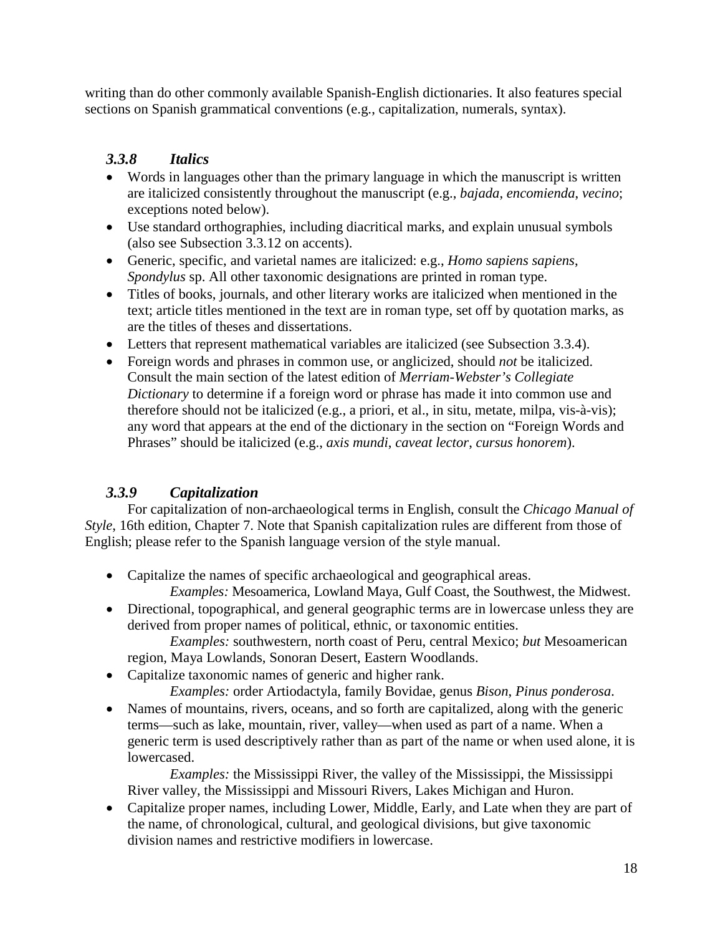writing than do other commonly available Spanish-English dictionaries. It also features special sections on Spanish grammatical conventions (e.g., capitalization, numerals, syntax).

## *3.3.8 Italics*

- Words in languages other than the primary language in which the manuscript is written are italicized consistently throughout the manuscript (e.g., *bajada*, *encomienda*, *vecino*; exceptions noted below).
- Use standard orthographies, including diacritical marks, and explain unusual symbols (also see Subsection 3.3.12 on accents).
- Generic, specific, and varietal names are italicized: e.g., *Homo sapiens sapiens*, *Spondylus* sp. All other taxonomic designations are printed in roman type.
- Titles of books, journals, and other literary works are italicized when mentioned in the text; article titles mentioned in the text are in roman type, set off by quotation marks, as are the titles of theses and dissertations.
- Letters that represent mathematical variables are italicized (see Subsection 3.3.4).
- Foreign words and phrases in common use, or anglicized, should *not* be italicized. Consult the main section of the latest edition of *Merriam-Webster's Collegiate Dictionary* to determine if a foreign word or phrase has made it into common use and therefore should not be italicized (e.g., a priori, et al., in situ, metate, milpa, vis-à-vis); any word that appears at the end of the dictionary in the section on "Foreign Words and Phrases" should be italicized (e.g., *axis mundi*, *caveat lector*, *cursus honorem*).

## *3.3.9 Capitalization*

For capitalization of non-archaeological terms in English, consult the *Chicago Manual of Style*, 16th edition, Chapter 7. Note that Spanish capitalization rules are different from those of English; please refer to the Spanish language version of the style manual.

- Capitalize the names of specific archaeological and geographical areas.
- *Examples:* Mesoamerica, Lowland Maya, Gulf Coast, the Southwest, the Midwest. • Directional, topographical, and general geographic terms are in lowercase unless they are derived from proper names of political, ethnic, or taxonomic entities.

*Examples:* southwestern, north coast of Peru, central Mexico; *but* Mesoamerican region, Maya Lowlands, Sonoran Desert, Eastern Woodlands.

• Capitalize taxonomic names of generic and higher rank.

*Examples:* order Artiodactyla, family Bovidae, genus *Bison*, *Pinus ponderosa*.

• Names of mountains, rivers, oceans, and so forth are capitalized, along with the generic terms—such as lake, mountain, river, valley—when used as part of a name. When a generic term is used descriptively rather than as part of the name or when used alone, it is lowercased.

*Examples:* the Mississippi River, the valley of the Mississippi, the Mississippi River valley, the Mississippi and Missouri Rivers, Lakes Michigan and Huron.

• Capitalize proper names, including Lower, Middle, Early, and Late when they are part of the name, of chronological, cultural, and geological divisions, but give taxonomic division names and restrictive modifiers in lowercase.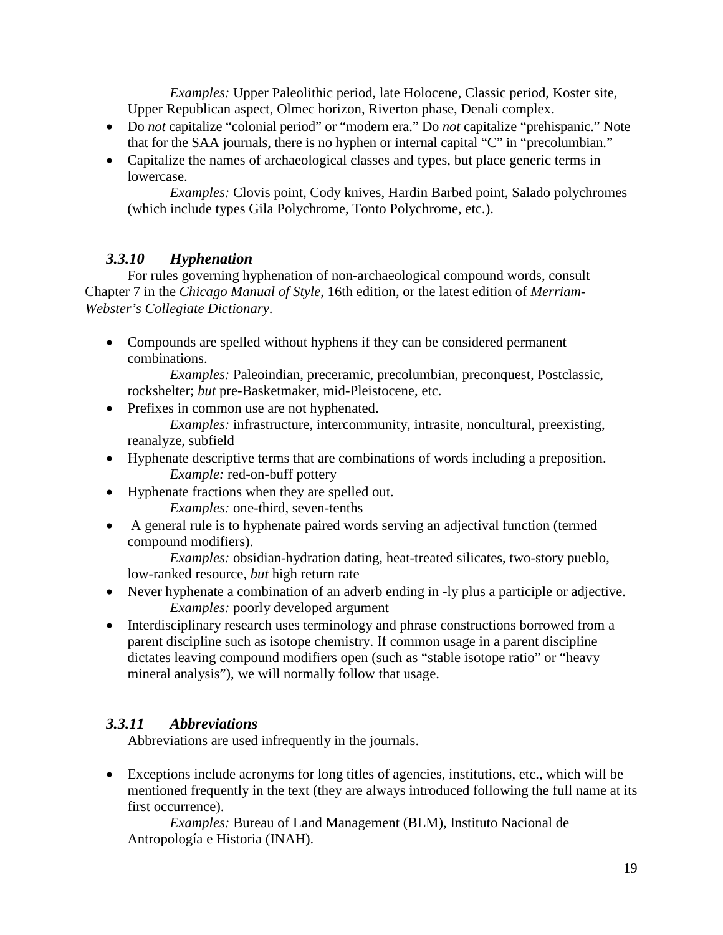*Examples:* Upper Paleolithic period, late Holocene, Classic period, Koster site, Upper Republican aspect, Olmec horizon, Riverton phase, Denali complex.

- Do *not* capitalize "colonial period" or "modern era." Do *not* capitalize "prehispanic." Note that for the SAA journals, there is no hyphen or internal capital "C" in "precolumbian."
- Capitalize the names of archaeological classes and types, but place generic terms in lowercase.

*Examples:* Clovis point, Cody knives, Hardin Barbed point, Salado polychromes (which include types Gila Polychrome, Tonto Polychrome, etc.).

### *3.3.10 Hyphenation*

For rules governing hyphenation of non-archaeological compound words, consult Chapter 7 in the *Chicago Manual of Style*, 16th edition, or the latest edition of *Merriam-Webster's Collegiate Dictionary*.

• Compounds are spelled without hyphens if they can be considered permanent combinations.

*Examples:* Paleoindian, preceramic, precolumbian, preconquest, Postclassic, rockshelter; *but* pre-Basketmaker, mid-Pleistocene, etc.

- Prefixes in common use are not hyphenated. *Examples:* infrastructure, intercommunity, intrasite, noncultural, preexisting,
- reanalyze, subfield • Hyphenate descriptive terms that are combinations of words including a preposition. *Example:* red-on-buff pottery
- Hyphenate fractions when they are spelled out.
	- *Examples:* one-third, seven-tenths
- A general rule is to hyphenate paired words serving an adjectival function (termed compound modifiers).

*Examples:* obsidian-hydration dating, heat-treated silicates, two-story pueblo, low-ranked resource, *but* high return rate

- Never hyphenate a combination of an adverb ending in -ly plus a participle or adjective. *Examples:* poorly developed argument
- Interdisciplinary research uses terminology and phrase constructions borrowed from a parent discipline such as isotope chemistry. If common usage in a parent discipline dictates leaving compound modifiers open (such as "stable isotope ratio" or "heavy mineral analysis"), we will normally follow that usage.

## *3.3.11 Abbreviations*

Abbreviations are used infrequently in the journals.

• Exceptions include acronyms for long titles of agencies, institutions, etc., which will be mentioned frequently in the text (they are always introduced following the full name at its first occurrence).

*Examples:* Bureau of Land Management (BLM), Instituto Nacional de Antropología e Historia (INAH).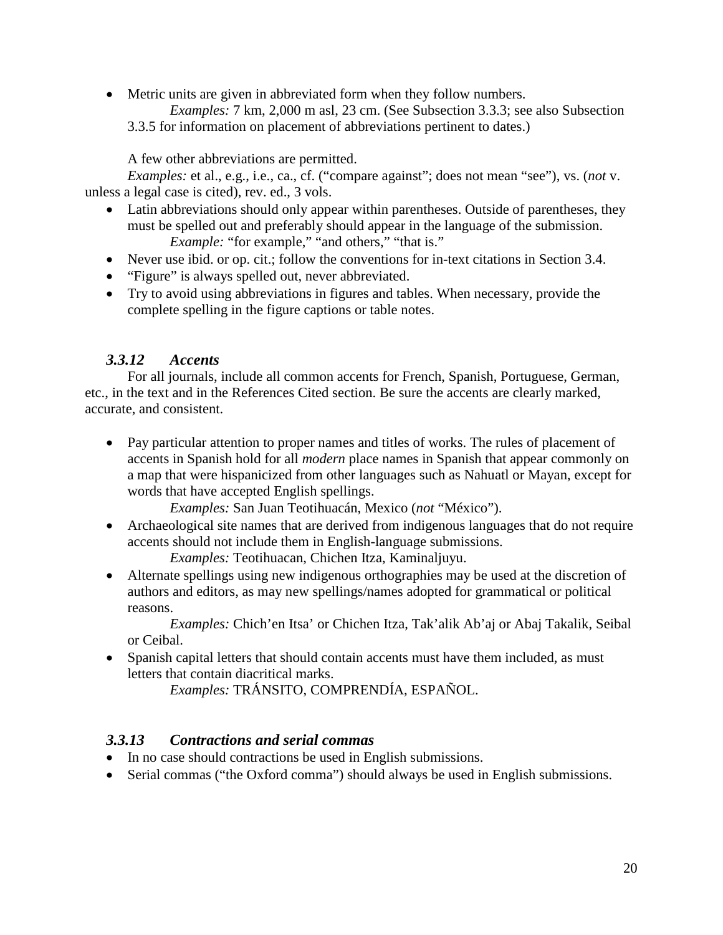• Metric units are given in abbreviated form when they follow numbers. *Examples:* 7 km, 2,000 m asl, 23 cm. (See Subsection 3.3.3; see also Subsection 3.3.5 for information on placement of abbreviations pertinent to dates.)

A few other abbreviations are permitted.

*Examples:* et al., e.g., i.e., ca., cf. ("compare against"; does not mean "see"), vs. (*not* v. unless a legal case is cited), rev. ed., 3 vols.

- Latin abbreviations should only appear within parentheses. Outside of parentheses, they must be spelled out and preferably should appear in the language of the submission. *Example:* "for example," "and others," "that is."
- Never use ibid. or op. cit.; follow the conventions for in-text citations in Section 3.4.
- "Figure" is always spelled out, never abbreviated.
- Try to avoid using abbreviations in figures and tables. When necessary, provide the complete spelling in the figure captions or table notes.

### *3.3.12 Accents*

For all journals, include all common accents for French, Spanish, Portuguese, German, etc., in the text and in the References Cited section. Be sure the accents are clearly marked, accurate, and consistent.

• Pay particular attention to proper names and titles of works. The rules of placement of accents in Spanish hold for all *modern* place names in Spanish that appear commonly on a map that were hispanicized from other languages such as Nahuatl or Mayan, except for words that have accepted English spellings.

*Examples:* San Juan Teotihuacán, Mexico (*not* "México").

• Archaeological site names that are derived from indigenous languages that do not require accents should not include them in English-language submissions. *Examples:* Teotihuacan, Chichen Itza, Kaminaljuyu.

• Alternate spellings using new indigenous orthographies may be used at the discretion of authors and editors, as may new spellings/names adopted for grammatical or political reasons.

*Examples:* Chich'en Itsa' or Chichen Itza, Tak'alik Ab'aj or Abaj Takalik, Seibal or Ceibal.

• Spanish capital letters that should contain accents must have them included, as must letters that contain diacritical marks.

*Examples:* TRÁNSITO, COMPRENDÍA, ESPAÑOL.

### *3.3.13 Contractions and serial commas*

- In no case should contractions be used in English submissions.
- Serial commas ("the Oxford comma") should always be used in English submissions.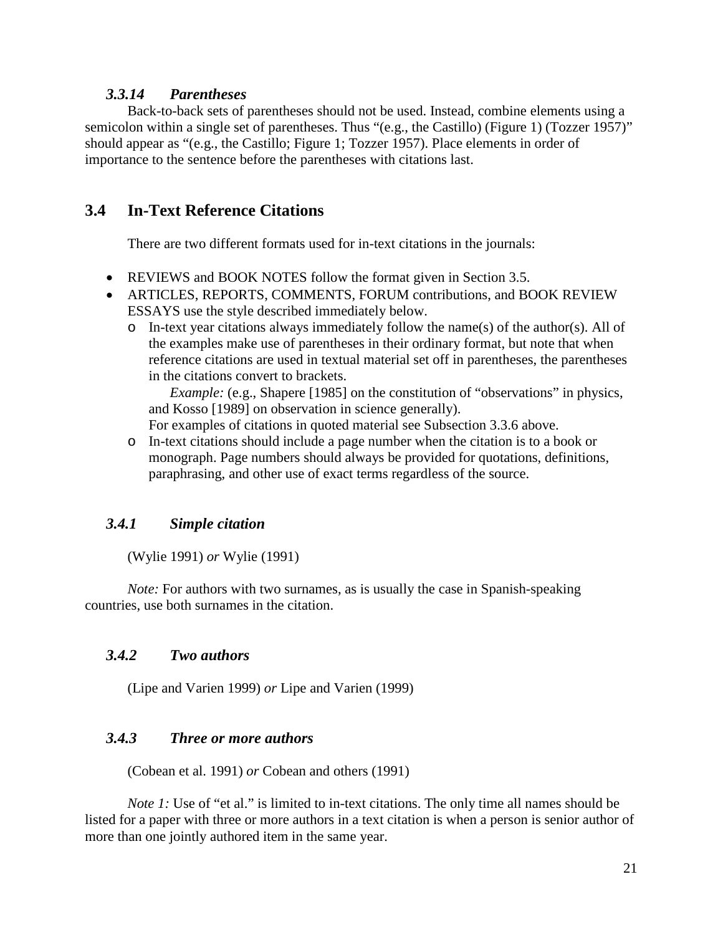### *3.3.14 Parentheses*

Back-to-back sets of parentheses should not be used. Instead, combine elements using a semicolon within a single set of parentheses. Thus "(e.g., the Castillo) (Figure 1) (Tozzer 1957)" should appear as "(e.g., the Castillo; Figure 1; Tozzer 1957). Place elements in order of importance to the sentence before the parentheses with citations last.

### **3.4 In-Text Reference Citations**

There are two different formats used for in-text citations in the journals:

- REVIEWS and BOOK NOTES follow the format given in Section 3.5.
- ARTICLES, REPORTS, COMMENTS, FORUM contributions, and BOOK REVIEW ESSAYS use the style described immediately below.
	- $\circ$  In-text year citations always immediately follow the name(s) of the author(s). All of the examples make use of parentheses in their ordinary format, but note that when reference citations are used in textual material set off in parentheses, the parentheses in the citations convert to brackets.

*Example:* (e.g., Shapere [1985] on the constitution of "observations" in physics, and Kosso [1989] on observation in science generally).

For examples of citations in quoted material see Subsection 3.3.6 above.

o In-text citations should include a page number when the citation is to a book or monograph. Page numbers should always be provided for quotations, definitions, paraphrasing, and other use of exact terms regardless of the source.

### *3.4.1 Simple citation*

(Wylie 1991) *or* Wylie (1991)

*Note:* For authors with two surnames, as is usually the case in Spanish-speaking countries, use both surnames in the citation.

### *3.4.2 Two authors*

(Lipe and Varien 1999) *or* Lipe and Varien (1999)

### *3.4.3 Three or more authors*

(Cobean et al. 1991) *or* Cobean and others (1991)

*Note* 1: Use of "et al." is limited to in-text citations. The only time all names should be listed for a paper with three or more authors in a text citation is when a person is senior author of more than one jointly authored item in the same year.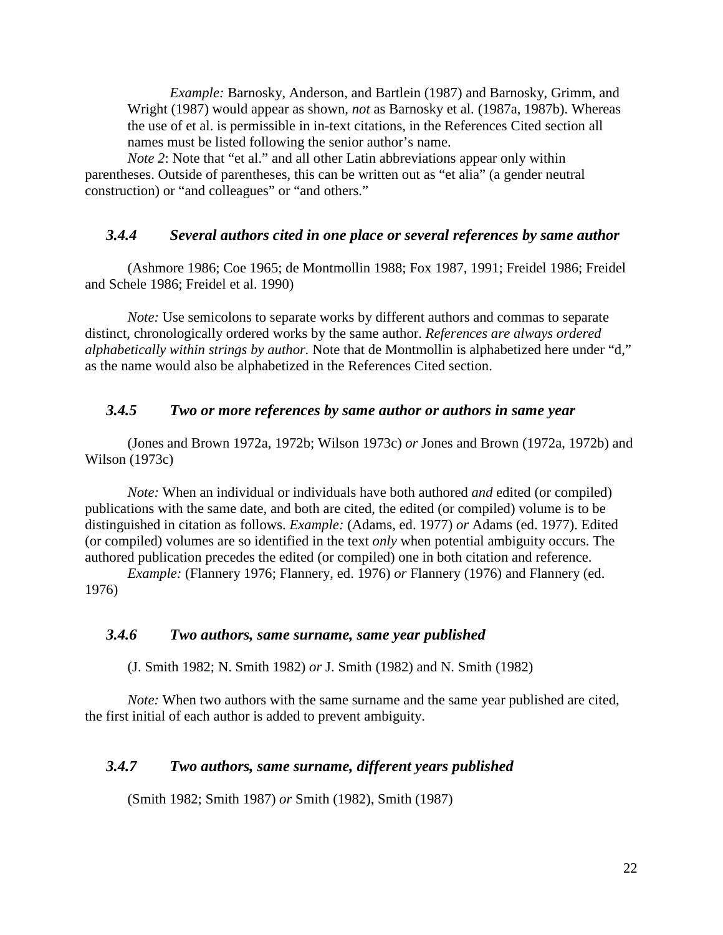*Example:* Barnosky, Anderson, and Bartlein (1987) and Barnosky, Grimm, and Wright (1987) would appear as shown, *not* as Barnosky et al. (1987a, 1987b). Whereas the use of et al. is permissible in in-text citations, in the References Cited section all names must be listed following the senior author's name.

*Note 2*: Note that "et al." and all other Latin abbreviations appear only within parentheses. Outside of parentheses, this can be written out as "et alia" (a gender neutral construction) or "and colleagues" or "and others."

#### *3.4.4 Several authors cited in one place or several references by same author*

(Ashmore 1986; Coe 1965; de Montmollin 1988; Fox 1987, 1991; Freidel 1986; Freidel and Schele 1986; Freidel et al. 1990)

*Note:* Use semicolons to separate works by different authors and commas to separate distinct, chronologically ordered works by the same author. *References are always ordered alphabetically within strings by author.* Note that de Montmollin is alphabetized here under "d," as the name would also be alphabetized in the References Cited section.

#### *3.4.5 Two or more references by same author or authors in same year*

(Jones and Brown 1972a, 1972b; Wilson 1973c) *or* Jones and Brown (1972a, 1972b) and Wilson (1973c)

*Note:* When an individual or individuals have both authored *and* edited (or compiled) publications with the same date, and both are cited, the edited (or compiled) volume is to be distinguished in citation as follows. *Example:* (Adams, ed. 1977) *or* Adams (ed. 1977). Edited (or compiled) volumes are so identified in the text *only* when potential ambiguity occurs. The authored publication precedes the edited (or compiled) one in both citation and reference.

*Example:* (Flannery 1976; Flannery, ed. 1976) *or* Flannery (1976) and Flannery (ed. 1976)

#### *3.4.6 Two authors, same surname, same year published*

(J. Smith 1982; N. Smith 1982) *or* J. Smith (1982) and N. Smith (1982)

*Note:* When two authors with the same surname and the same year published are cited, the first initial of each author is added to prevent ambiguity.

#### *3.4.7 Two authors, same surname, different years published*

(Smith 1982; Smith 1987) *or* Smith (1982), Smith (1987)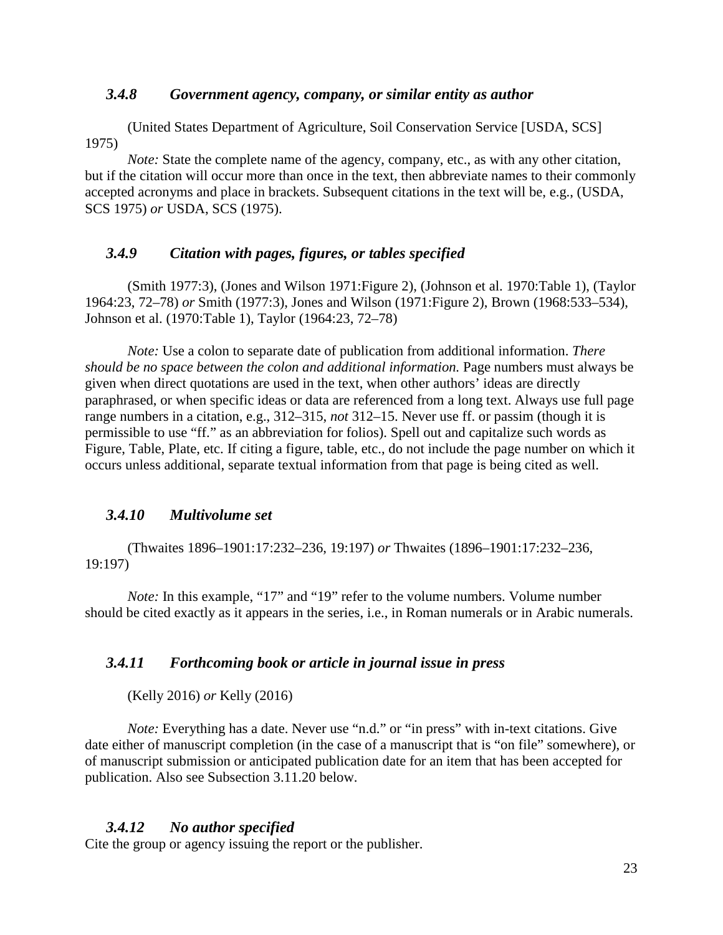#### *3.4.8 Government agency, company, or similar entity as author*

(United States Department of Agriculture, Soil Conservation Service [USDA, SCS] 1975)

*Note:* State the complete name of the agency, company, etc., as with any other citation, but if the citation will occur more than once in the text, then abbreviate names to their commonly accepted acronyms and place in brackets. Subsequent citations in the text will be, e.g., (USDA, SCS 1975) *or* USDA, SCS (1975).

### *3.4.9 Citation with pages, figures, or tables specified*

(Smith 1977:3), (Jones and Wilson 1971:Figure 2), (Johnson et al. 1970:Table 1), (Taylor 1964:23, 72–78) *or* Smith (1977:3), Jones and Wilson (1971:Figure 2), Brown (1968:533–534), Johnson et al. (1970:Table 1), Taylor (1964:23, 72–78)

*Note:* Use a colon to separate date of publication from additional information. *There should be no space between the colon and additional information.* Page numbers must always be given when direct quotations are used in the text, when other authors' ideas are directly paraphrased, or when specific ideas or data are referenced from a long text. Always use full page range numbers in a citation, e.g., 312–315, *not* 312–15. Never use ff. or passim (though it is permissible to use "ff." as an abbreviation for folios). Spell out and capitalize such words as Figure, Table, Plate, etc. If citing a figure, table, etc., do not include the page number on which it occurs unless additional, separate textual information from that page is being cited as well.

#### *3.4.10 Multivolume set*

(Thwaites 1896–1901:17:232–236, 19:197) *or* Thwaites (1896–1901:17:232–236, 19:197)

*Note:* In this example, "17" and "19" refer to the volume numbers. Volume number should be cited exactly as it appears in the series, i.e., in Roman numerals or in Arabic numerals.

### *3.4.11 Forthcoming book or article in journal issue in press*

(Kelly 2016) *or* Kelly (2016)

*Note:* Everything has a date. Never use "n.d." or "in press" with in-text citations. Give date either of manuscript completion (in the case of a manuscript that is "on file" somewhere), or of manuscript submission or anticipated publication date for an item that has been accepted for publication. Also see Subsection 3.11.20 below.

#### *3.4.12 No author specified*

Cite the group or agency issuing the report or the publisher.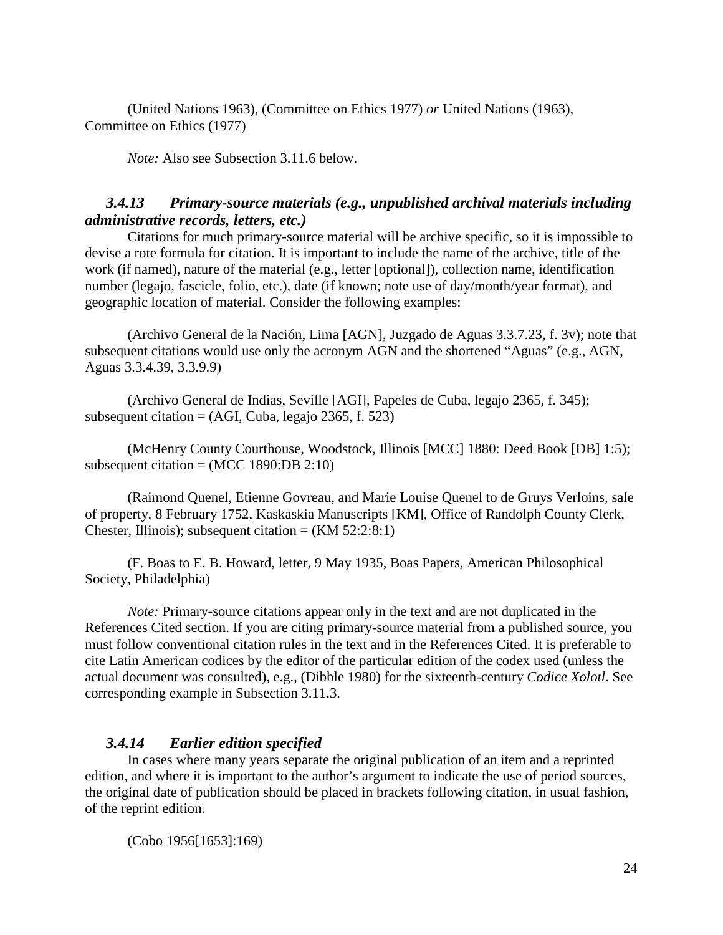(United Nations 1963), (Committee on Ethics 1977) *or* United Nations (1963), Committee on Ethics (1977)

*Note:* Also see Subsection 3.11.6 below.

### *3.4.13 Primary-source materials (e.g., unpublished archival materials including administrative records, letters, etc.)*

Citations for much primary-source material will be archive specific, so it is impossible to devise a rote formula for citation. It is important to include the name of the archive, title of the work (if named), nature of the material (e.g., letter [optional]), collection name, identification number (legajo, fascicle, folio, etc.), date (if known; note use of day/month/year format), and geographic location of material. Consider the following examples:

(Archivo General de la Nación, Lima [AGN], Juzgado de Aguas 3.3.7.23, f. 3v); note that subsequent citations would use only the acronym AGN and the shortened "Aguas" (e.g., AGN, Aguas 3.3.4.39, 3.3.9.9)

(Archivo General de Indias, Seville [AGI], Papeles de Cuba, legajo 2365, f. 345); subsequent citation  $= (AGI, Cuba, legajo 2365, f. 523)$ 

(McHenry County Courthouse, Woodstock, Illinois [MCC] 1880: Deed Book [DB] 1:5); subsequent citation =  $(MCC 1890:DB 2:10)$ 

(Raimond Quenel, Etienne Govreau, and Marie Louise Quenel to de Gruys Verloins, sale of property, 8 February 1752, Kaskaskia Manuscripts [KM], Office of Randolph County Clerk, Chester, Illinois); subsequent citation =  $(KM 52:2:8:1)$ 

(F. Boas to E. B. Howard, letter, 9 May 1935, Boas Papers, American Philosophical Society, Philadelphia)

*Note:* Primary-source citations appear only in the text and are not duplicated in the References Cited section. If you are citing primary-source material from a published source, you must follow conventional citation rules in the text and in the References Cited. It is preferable to cite Latin American codices by the editor of the particular edition of the codex used (unless the actual document was consulted), e.g., (Dibble 1980) for the sixteenth-century *Codice Xolotl*. See corresponding example in Subsection 3.11.3.

### *3.4.14 Earlier edition specified*

In cases where many years separate the original publication of an item and a reprinted edition, and where it is important to the author's argument to indicate the use of period sources, the original date of publication should be placed in brackets following citation, in usual fashion, of the reprint edition.

(Cobo 1956[1653]:169)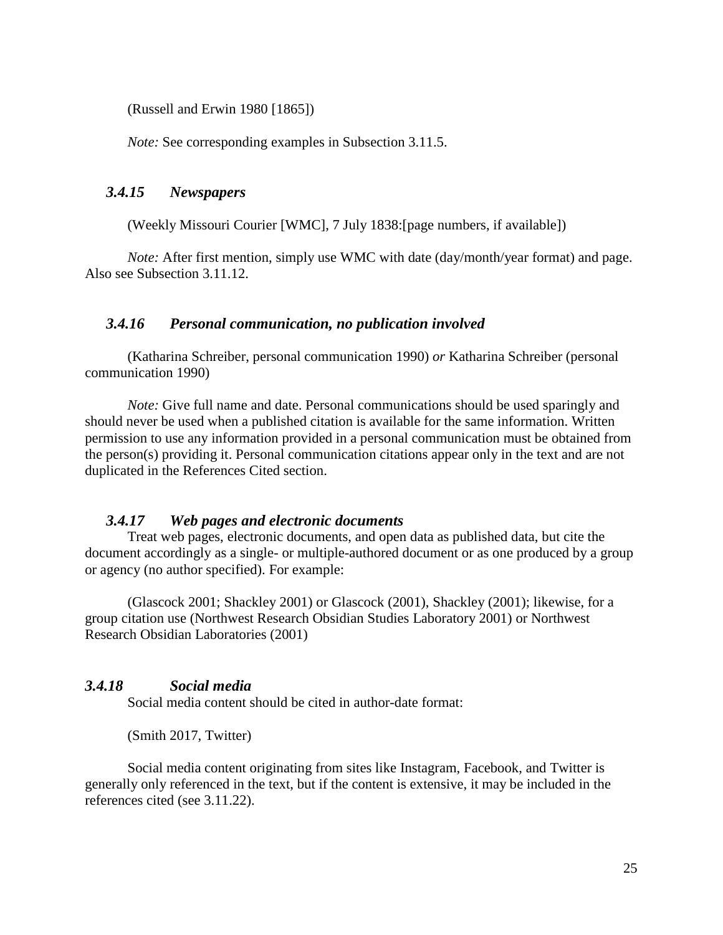(Russell and Erwin 1980 [1865])

*Note:* See corresponding examples in Subsection 3.11.5.

#### *3.4.15 Newspapers*

(Weekly Missouri Courier [WMC], 7 July 1838:[page numbers, if available])

*Note:* After first mention, simply use WMC with date (day/month/year format) and page. Also see Subsection 3.11.12.

#### *3.4.16 Personal communication, no publication involved*

(Katharina Schreiber, personal communication 1990) *or* Katharina Schreiber (personal communication 1990)

*Note:* Give full name and date. Personal communications should be used sparingly and should never be used when a published citation is available for the same information. Written permission to use any information provided in a personal communication must be obtained from the person(s) providing it. Personal communication citations appear only in the text and are not duplicated in the References Cited section.

#### *3.4.17 Web pages and electronic documents*

Treat web pages, electronic documents, and open data as published data, but cite the document accordingly as a single- or multiple-authored document or as one produced by a group or agency (no author specified). For example:

(Glascock 2001; Shackley 2001) or Glascock (2001), Shackley (2001); likewise, for a group citation use (Northwest Research Obsidian Studies Laboratory 2001) or Northwest Research Obsidian Laboratories (2001)

### *3.4.18 Social media*

Social media content should be cited in author-date format:

(Smith 2017, Twitter)

Social media content originating from sites like Instagram, Facebook, and Twitter is generally only referenced in the text, but if the content is extensive, it may be included in the references cited (see 3.11.22).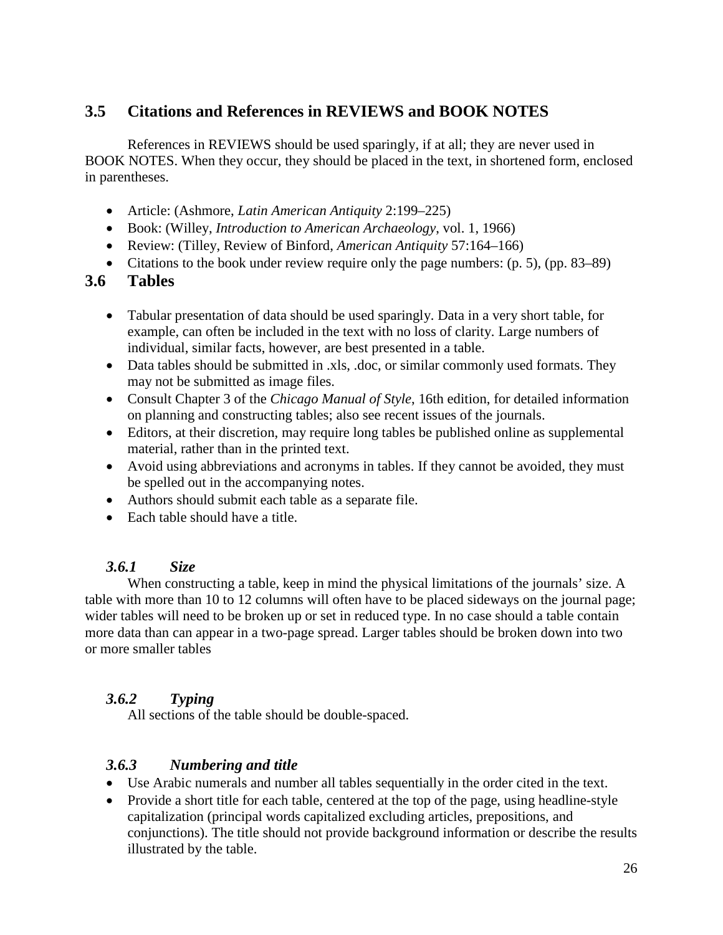## **3.5 Citations and References in REVIEWS and BOOK NOTES**

References in REVIEWS should be used sparingly, if at all; they are never used in BOOK NOTES. When they occur, they should be placed in the text, in shortened form, enclosed in parentheses.

- Article: (Ashmore, *Latin American Antiquity* 2:199–225)
- Book: (Willey, *Introduction to American Archaeology*, vol. 1, 1966)
- Review: (Tilley, Review of Binford, *American Antiquity* 57:164–166)
- Citations to the book under review require only the page numbers:  $(p. 5)$ ,  $(pp. 83-89)$

## **3.6 Tables**

- Tabular presentation of data should be used sparingly. Data in a very short table, for example, can often be included in the text with no loss of clarity. Large numbers of individual, similar facts, however, are best presented in a table.
- Data tables should be submitted in .xls, .doc, or similar commonly used formats. They may not be submitted as image files.
- Consult Chapter 3 of the *Chicago Manual of Style*, 16th edition, for detailed information on planning and constructing tables; also see recent issues of the journals.
- Editors, at their discretion, may require long tables be published online as supplemental material, rather than in the printed text.
- Avoid using abbreviations and acronyms in tables. If they cannot be avoided, they must be spelled out in the accompanying notes.
- Authors should submit each table as a separate file.
- Each table should have a title.

### *3.6.1 Size*

When constructing a table, keep in mind the physical limitations of the journals' size. A table with more than 10 to 12 columns will often have to be placed sideways on the journal page; wider tables will need to be broken up or set in reduced type. In no case should a table contain more data than can appear in a two-page spread. Larger tables should be broken down into two or more smaller tables

### *3.6.2 Typing*

All sections of the table should be double-spaced.

### *3.6.3 Numbering and title*

- Use Arabic numerals and number all tables sequentially in the order cited in the text.
- Provide a short title for each table, centered at the top of the page, using headline-style capitalization (principal words capitalized excluding articles, prepositions, and conjunctions). The title should not provide background information or describe the results illustrated by the table.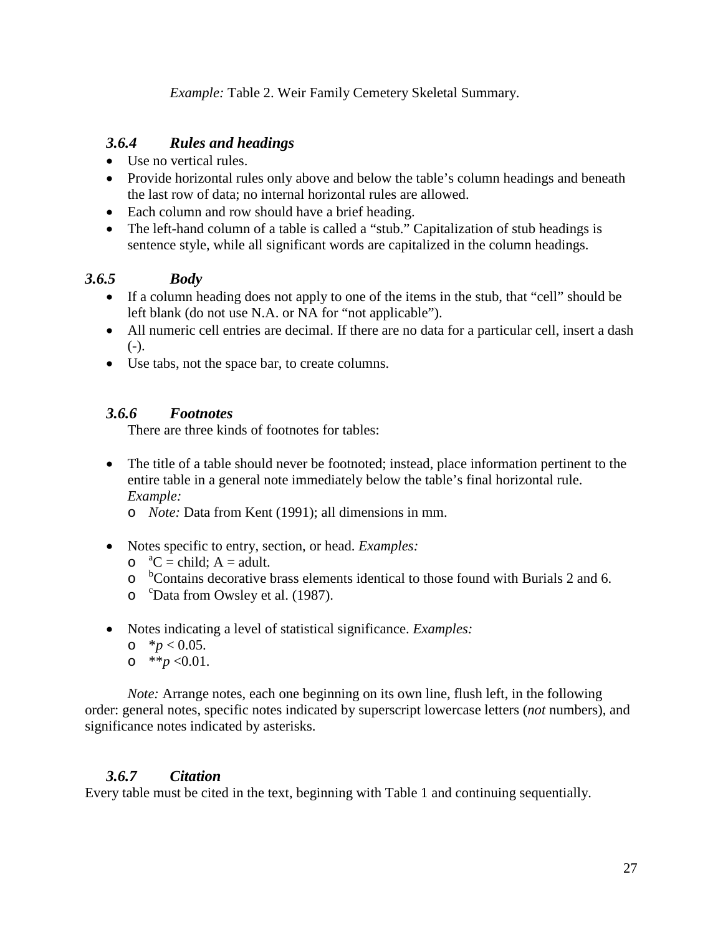*Example:* Table 2. Weir Family Cemetery Skeletal Summary.

## *3.6.4 Rules and headings*

- Use no vertical rules.
- Provide horizontal rules only above and below the table's column headings and beneath the last row of data; no internal horizontal rules are allowed.
- Each column and row should have a brief heading.
- The left-hand column of a table is called a "stub." Capitalization of stub headings is sentence style, while all significant words are capitalized in the column headings.

### *3.6.5 Body*

- If a column heading does not apply to one of the items in the stub, that "cell" should be left blank (do not use N.A. or NA for "not applicable").
- All numeric cell entries are decimal. If there are no data for a particular cell, insert a dash  $(-)$ .
- Use tabs, not the space bar, to create columns.

### *3.6.6 Footnotes*

There are three kinds of footnotes for tables:

- The title of a table should never be footnoted; instead, place information pertinent to the entire table in a general note immediately below the table's final horizontal rule. *Example:*
	- o *Note:* Data from Kent (1991); all dimensions in mm.
- Notes specific to entry, section, or head. *Examples:*
	- $\circ$   ${}^{a}C =$ child; A = adult.
	- <sup>b</sup>Contains decorative brass elements identical to those found with Burials 2 and 6.
	- o <sup>c</sup>Data from Owsley et al. (1987).
- Notes indicating a level of statistical significance. *Examples:*
	- o  $*$ *p* < 0.05.
	- o \*\* $p \le 0.01$ .

*Note:* Arrange notes, each one beginning on its own line, flush left, in the following order: general notes, specific notes indicated by superscript lowercase letters (*not* numbers), and significance notes indicated by asterisks.

### *3.6.7 Citation*

Every table must be cited in the text, beginning with Table 1 and continuing sequentially.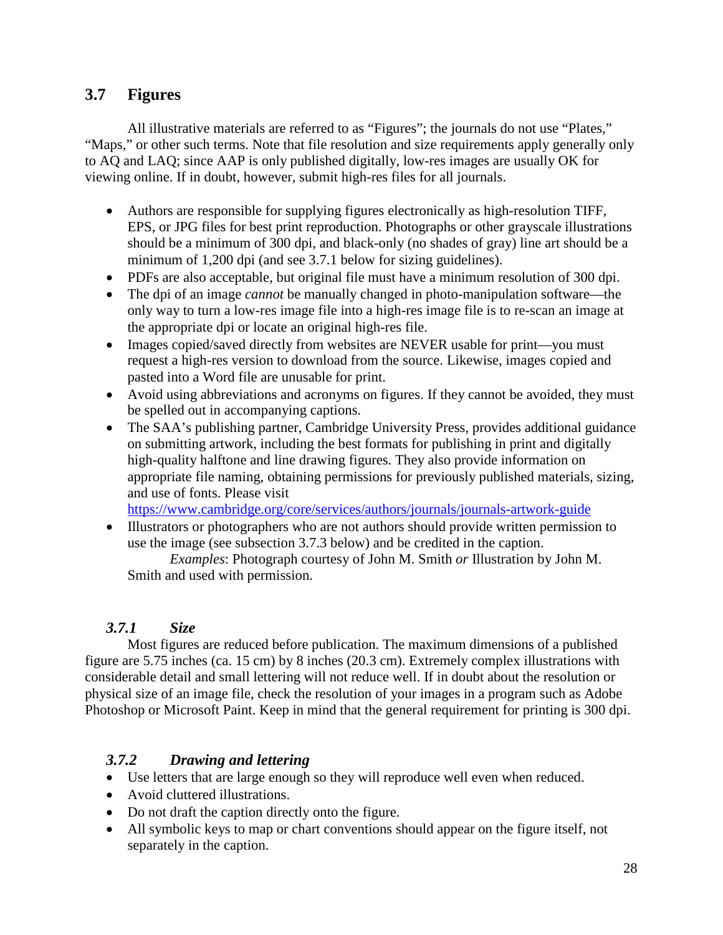## **3.7 Figures**

All illustrative materials are referred to as "Figures"; the journals do not use "Plates," "Maps," or other such terms. Note that file resolution and size requirements apply generally only to AQ and LAQ; since AAP is only published digitally, low-res images are usually OK for viewing online. If in doubt, however, submit high-res files for all journals.

- Authors are responsible for supplying figures electronically as high-resolution TIFF, EPS, or JPG files for best print reproduction. Photographs or other grayscale illustrations should be a minimum of 300 dpi, and black-only (no shades of gray) line art should be a minimum of 1,200 dpi (and see 3.7.1 below for sizing guidelines).
- PDFs are also acceptable, but original file must have a minimum resolution of 300 dpi.
- The dpi of an image *cannot* be manually changed in photo-manipulation software—the only way to turn a low-res image file into a high-res image file is to re-scan an image at the appropriate dpi or locate an original high-res file.
- Images copied/saved directly from websites are NEVER usable for print—you must request a high-res version to download from the source. Likewise, images copied and pasted into a Word file are unusable for print.
- Avoid using abbreviations and acronyms on figures. If they cannot be avoided, they must be spelled out in accompanying captions.
- The SAA's publishing partner, Cambridge University Press, provides additional guidance on submitting artwork, including the best formats for publishing in print and digitally high-quality halftone and line drawing figures. They also provide information on appropriate file naming, obtaining permissions for previously published materials, sizing, and use of fonts. Please visit

<https://www.cambridge.org/core/services/authors/journals/journals-artwork-guide>

• Illustrators or photographers who are not authors should provide written permission to use the image (see subsection 3.7.3 below) and be credited in the caption.

*Examples*: Photograph courtesy of John M. Smith *or* Illustration by John M. Smith and used with permission.

## *3.7.1 Size*

Most figures are reduced before publication. The maximum dimensions of a published figure are 5.75 inches (ca. 15 cm) by 8 inches (20.3 cm). Extremely complex illustrations with considerable detail and small lettering will not reduce well. If in doubt about the resolution or physical size of an image file, check the resolution of your images in a program such as Adobe Photoshop or Microsoft Paint. Keep in mind that the general requirement for printing is 300 dpi.

### *3.7.2 Drawing and lettering*

- Use letters that are large enough so they will reproduce well even when reduced.
- Avoid cluttered illustrations.
- Do not draft the caption directly onto the figure.
- All symbolic keys to map or chart conventions should appear on the figure itself, not separately in the caption.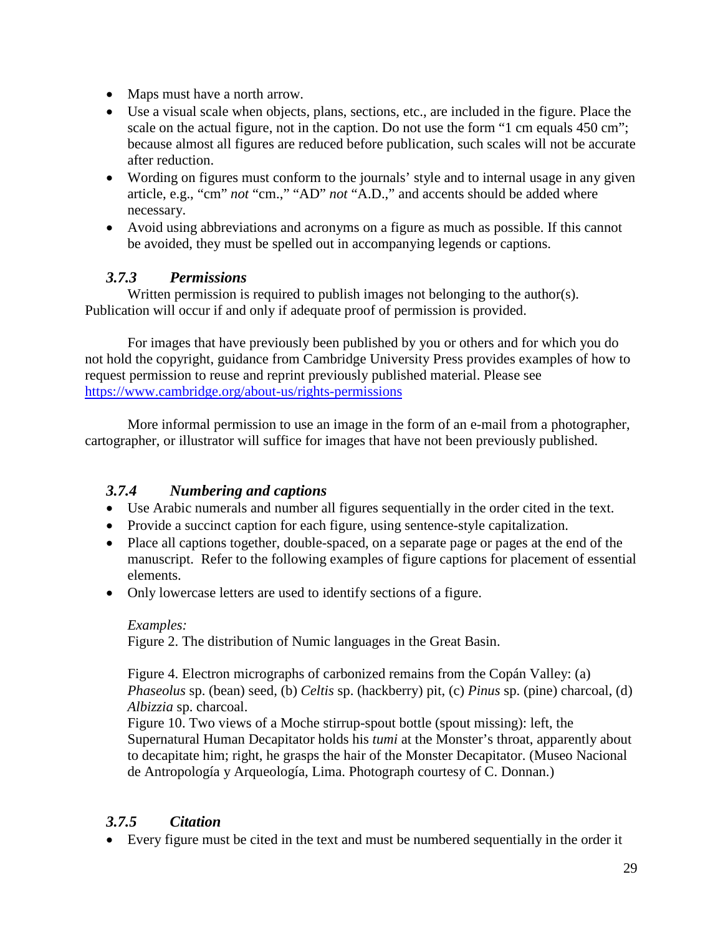- Maps must have a north arrow.
- Use a visual scale when objects, plans, sections, etc., are included in the figure. Place the scale on the actual figure, not in the caption. Do not use the form "1 cm equals 450 cm"; because almost all figures are reduced before publication, such scales will not be accurate after reduction.
- Wording on figures must conform to the journals' style and to internal usage in any given article, e.g., "cm" *not* "cm.," "AD" *not* "A.D.," and accents should be added where necessary.
- Avoid using abbreviations and acronyms on a figure as much as possible. If this cannot be avoided, they must be spelled out in accompanying legends or captions.

### *3.7.3 Permissions*

Written permission is required to publish images not belonging to the author(s). Publication will occur if and only if adequate proof of permission is provided.

For images that have previously been published by you or others and for which you do not hold the copyright, guidance from Cambridge University Press provides examples of how to request permission to reuse and reprint previously published material. Please see <https://www.cambridge.org/about-us/rights-permissions>

More informal permission to use an image in the form of an e-mail from a photographer, cartographer, or illustrator will suffice for images that have not been previously published.

### *3.7.4 Numbering and captions*

- Use Arabic numerals and number all figures sequentially in the order cited in the text.
- Provide a succinct caption for each figure, using sentence-style capitalization.
- Place all captions together, double-spaced, on a separate page or pages at the end of the manuscript. Refer to the following examples of figure captions for placement of essential elements.
- Only lowercase letters are used to identify sections of a figure.

### *Examples:*

Figure 2. The distribution of Numic languages in the Great Basin.

Figure 4. Electron micrographs of carbonized remains from the Copán Valley: (a) *Phaseolus* sp. (bean) seed, (b) *Celtis* sp. (hackberry) pit, (c) *Pinus* sp. (pine) charcoal, (d) *Albizzia* sp. charcoal.

Figure 10. Two views of a Moche stirrup-spout bottle (spout missing): left, the Supernatural Human Decapitator holds his *tumi* at the Monster's throat, apparently about to decapitate him; right, he grasps the hair of the Monster Decapitator. (Museo Nacional de Antropología y Arqueología, Lima. Photograph courtesy of C. Donnan.)

### *3.7.5 Citation*

• Every figure must be cited in the text and must be numbered sequentially in the order it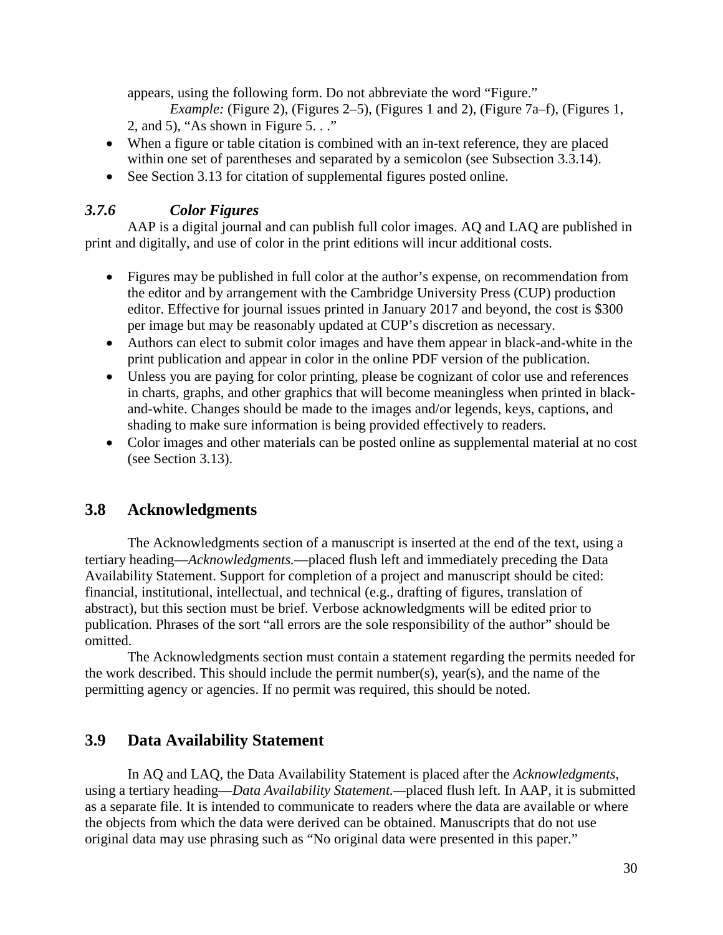appears, using the following form. Do not abbreviate the word "Figure."

*Example:* (Figure 2), (Figures 2–5), (Figures 1 and 2), (Figure 7a–f), (Figures 1, 2, and 5), "As shown in Figure 5. . ."

- When a figure or table citation is combined with an in-text reference, they are placed within one set of parentheses and separated by a semicolon (see Subsection 3.3.14).
- See Section 3.13 for citation of supplemental figures posted online.

## *3.7.6 Color Figures*

AAP is a digital journal and can publish full color images. AQ and LAQ are published in print and digitally, and use of color in the print editions will incur additional costs.

- Figures may be published in full color at the author's expense, on recommendation from the editor and by arrangement with the Cambridge University Press (CUP) production editor. Effective for journal issues printed in January 2017 and beyond, the cost is \$300 per image but may be reasonably updated at CUP's discretion as necessary.
- Authors can elect to submit color images and have them appear in black-and-white in the print publication and appear in color in the online PDF version of the publication.
- Unless you are paying for color printing, please be cognizant of color use and references in charts, graphs, and other graphics that will become meaningless when printed in blackand-white. Changes should be made to the images and/or legends, keys, captions, and shading to make sure information is being provided effectively to readers.
- Color images and other materials can be posted online as supplemental material at no cost (see Section 3.13).

## **3.8 Acknowledgments**

The Acknowledgments section of a manuscript is inserted at the end of the text, using a tertiary heading—*Acknowledgments.*—placed flush left and immediately preceding the Data Availability Statement. Support for completion of a project and manuscript should be cited: financial, institutional, intellectual, and technical (e.g., drafting of figures, translation of abstract), but this section must be brief. Verbose acknowledgments will be edited prior to publication. Phrases of the sort "all errors are the sole responsibility of the author" should be omitted.

The Acknowledgments section must contain a statement regarding the permits needed for the work described. This should include the permit number(s), year(s), and the name of the permitting agency or agencies. If no permit was required, this should be noted.

## **3.9 Data Availability Statement**

In AQ and LAQ, the Data Availability Statement is placed after the *Acknowledgments*, using a tertiary heading—*Data Availability Statement.—*placed flush left. In AAP, it is submitted as a separate file. It is intended to communicate to readers where the data are available or where the objects from which the data were derived can be obtained. Manuscripts that do not use original data may use phrasing such as "No original data were presented in this paper."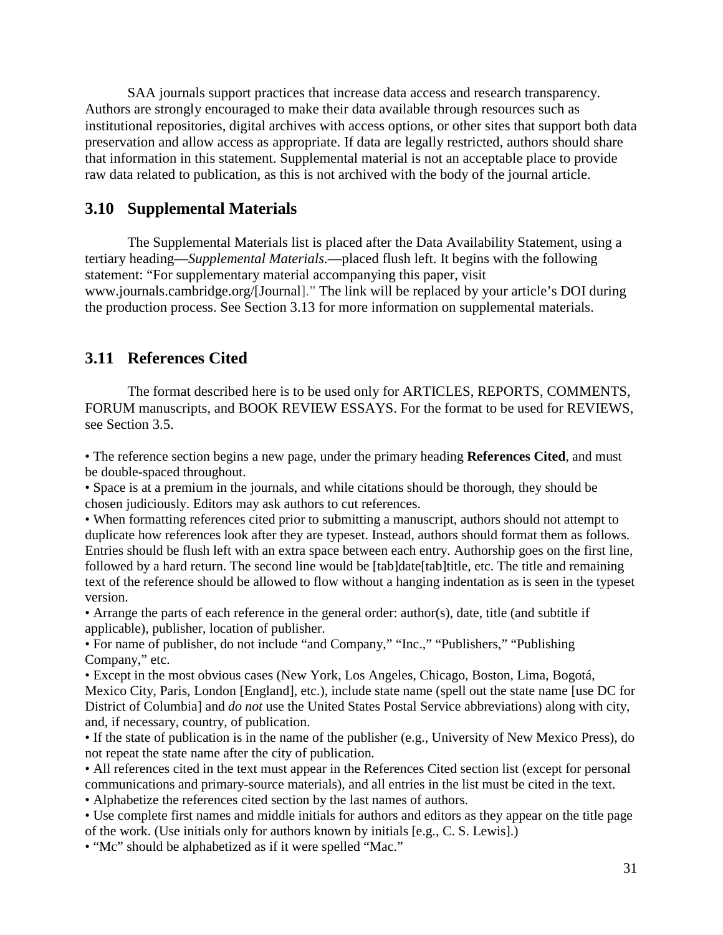SAA journals support practices that increase data access and research transparency. Authors are strongly encouraged to make their data available through resources such as institutional repositories, digital archives with access options, or other sites that support both data preservation and allow access as appropriate. If data are legally restricted, authors should share that information in this statement. Supplemental material is not an acceptable place to provide raw data related to publication, as this is not archived with the body of the journal article.

#### **3.10 Supplemental Materials**

The Supplemental Materials list is placed after the Data Availability Statement, using a tertiary heading—*Supplemental Materials*.—placed flush left. It begins with the following statement: "For supplementary material accompanying this paper, visit www.journals.cambridge.org/[Journal]." The link will be replaced by your article's DOI during the production process. See Section 3.13 for more information on supplemental materials.

### **3.11 References Cited**

The format described here is to be used only for ARTICLES, REPORTS, COMMENTS, FORUM manuscripts, and BOOK REVIEW ESSAYS. For the format to be used for REVIEWS, see Section 3.5.

• The reference section begins a new page, under the primary heading **References Cited**, and must be double-spaced throughout.

• Space is at a premium in the journals, and while citations should be thorough, they should be chosen judiciously. Editors may ask authors to cut references.

• When formatting references cited prior to submitting a manuscript, authors should not attempt to duplicate how references look after they are typeset. Instead, authors should format them as follows. Entries should be flush left with an extra space between each entry. Authorship goes on the first line, followed by a hard return. The second line would be [tab]date[tab]title, etc. The title and remaining text of the reference should be allowed to flow without a hanging indentation as is seen in the typeset version.

• Arrange the parts of each reference in the general order: author(s), date, title (and subtitle if applicable), publisher, location of publisher.

• For name of publisher, do not include "and Company," "Inc.," "Publishers," "Publishing Company," etc.

• Except in the most obvious cases (New York, Los Angeles, Chicago, Boston, Lima, Bogotá, Mexico City, Paris, London [England], etc.), include state name (spell out the state name [use DC for District of Columbia] and *do not* use the United States Postal Service abbreviations) along with city, and, if necessary, country, of publication.

• If the state of publication is in the name of the publisher (e.g., University of New Mexico Press), do not repeat the state name after the city of publication.

• All references cited in the text must appear in the References Cited section list (except for personal communications and primary-source materials), and all entries in the list must be cited in the text.

• Alphabetize the references cited section by the last names of authors.

• Use complete first names and middle initials for authors and editors as they appear on the title page of the work. (Use initials only for authors known by initials [e.g., C. S. Lewis].)

• "Mc" should be alphabetized as if it were spelled "Mac."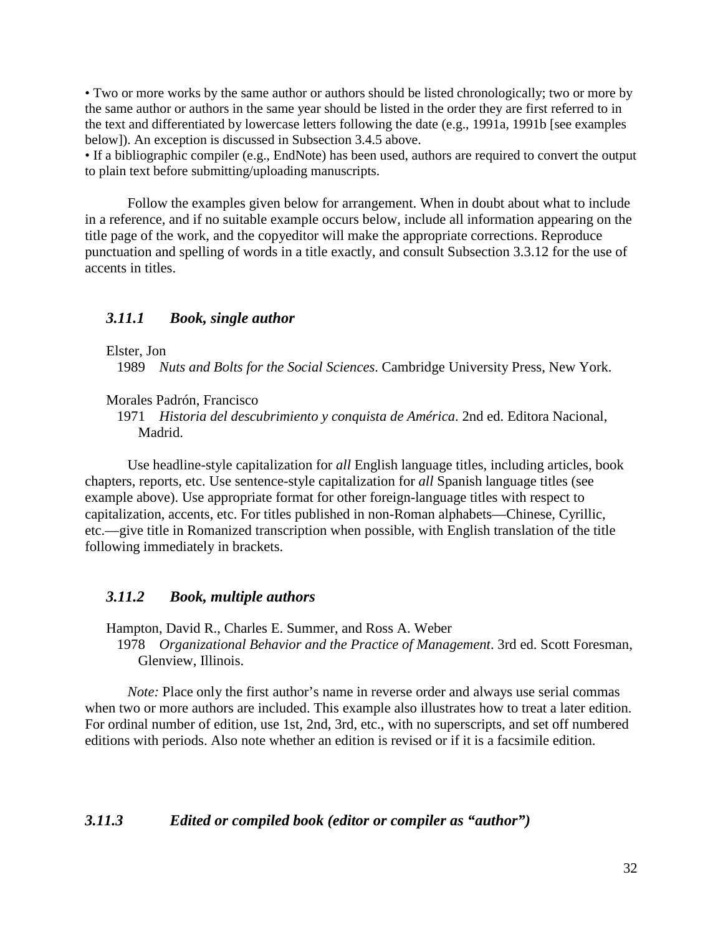• Two or more works by the same author or authors should be listed chronologically; two or more by the same author or authors in the same year should be listed in the order they are first referred to in the text and differentiated by lowercase letters following the date (e.g., 1991a, 1991b [see examples below]). An exception is discussed in Subsection 3.4.5 above.

• If a bibliographic compiler (e.g., EndNote) has been used, authors are required to convert the output to plain text before submitting/uploading manuscripts.

Follow the examples given below for arrangement. When in doubt about what to include in a reference, and if no suitable example occurs below, include all information appearing on the title page of the work, and the copyeditor will make the appropriate corrections. Reproduce punctuation and spelling of words in a title exactly, and consult Subsection 3.3.12 for the use of accents in titles.

#### *3.11.1 Book, single author*

Elster, Jon

1989 *Nuts and Bolts for the Social Sciences*. Cambridge University Press, New York.

Morales Padrón, Francisco

1971 *Historia del descubrimiento y conquista de América*. 2nd ed. Editora Nacional, Madrid.

Use headline-style capitalization for *all* English language titles, including articles, book chapters, reports, etc. Use sentence-style capitalization for *all* Spanish language titles (see example above). Use appropriate format for other foreign-language titles with respect to capitalization, accents, etc. For titles published in non-Roman alphabets—Chinese, Cyrillic, etc.—give title in Romanized transcription when possible, with English translation of the title following immediately in brackets.

#### *3.11.2 Book, multiple authors*

Hampton, David R., Charles E. Summer, and Ross A. Weber

1978 *Organizational Behavior and the Practice of Management*. 3rd ed. Scott Foresman, Glenview, Illinois.

*Note:* Place only the first author's name in reverse order and always use serial commas when two or more authors are included. This example also illustrates how to treat a later edition. For ordinal number of edition, use 1st, 2nd, 3rd, etc., with no superscripts, and set off numbered editions with periods. Also note whether an edition is revised or if it is a facsimile edition.

#### *3.11.3 Edited or compiled book (editor or compiler as "author")*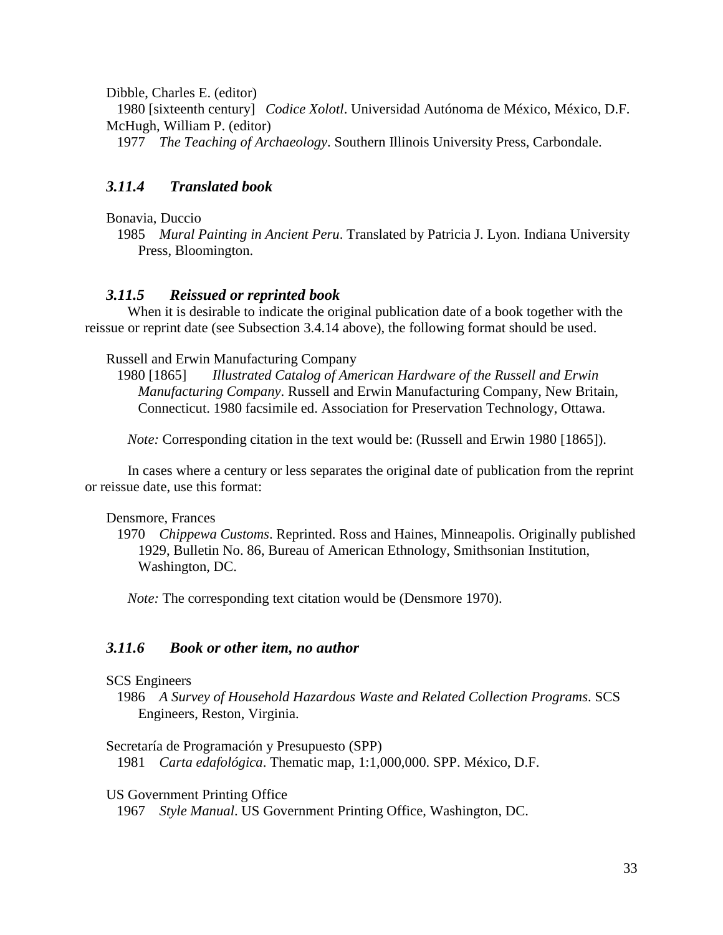Dibble, Charles E. (editor)

1980 [sixteenth century] *Codice Xolotl*. Universidad Autónoma de México, México, D.F. McHugh, William P. (editor)

1977 *The Teaching of Archaeology*. Southern Illinois University Press, Carbondale.

### *3.11.4 Translated book*

Bonavia, Duccio

1985 *Mural Painting in Ancient Peru*. Translated by Patricia J. Lyon. Indiana University Press, Bloomington.

#### *3.11.5 Reissued or reprinted book*

When it is desirable to indicate the original publication date of a book together with the reissue or reprint date (see Subsection 3.4.14 above), the following format should be used.

#### Russell and Erwin Manufacturing Company

1980 [1865] *Illustrated Catalog of American Hardware of the Russell and Erwin Manufacturing Company*. Russell and Erwin Manufacturing Company, New Britain, Connecticut. 1980 facsimile ed. Association for Preservation Technology, Ottawa.

*Note:* Corresponding citation in the text would be: (Russell and Erwin 1980 [1865]).

In cases where a century or less separates the original date of publication from the reprint or reissue date, use this format:

#### Densmore, Frances

1970 *Chippewa Customs*. Reprinted. Ross and Haines, Minneapolis. Originally published 1929, Bulletin No. 86, Bureau of American Ethnology, Smithsonian Institution, Washington, DC.

*Note:* The corresponding text citation would be (Densmore 1970).

#### *3.11.6 Book or other item, no author*

#### SCS Engineers

1986 *A Survey of Household Hazardous Waste and Related Collection Programs*. SCS Engineers, Reston, Virginia.

Secretaría de Programación y Presupuesto (SPP)

1981 *Carta edafológica*. Thematic map, 1:1,000,000. SPP. México, D.F.

US Government Printing Office

1967 *Style Manual*. US Government Printing Office, Washington, DC.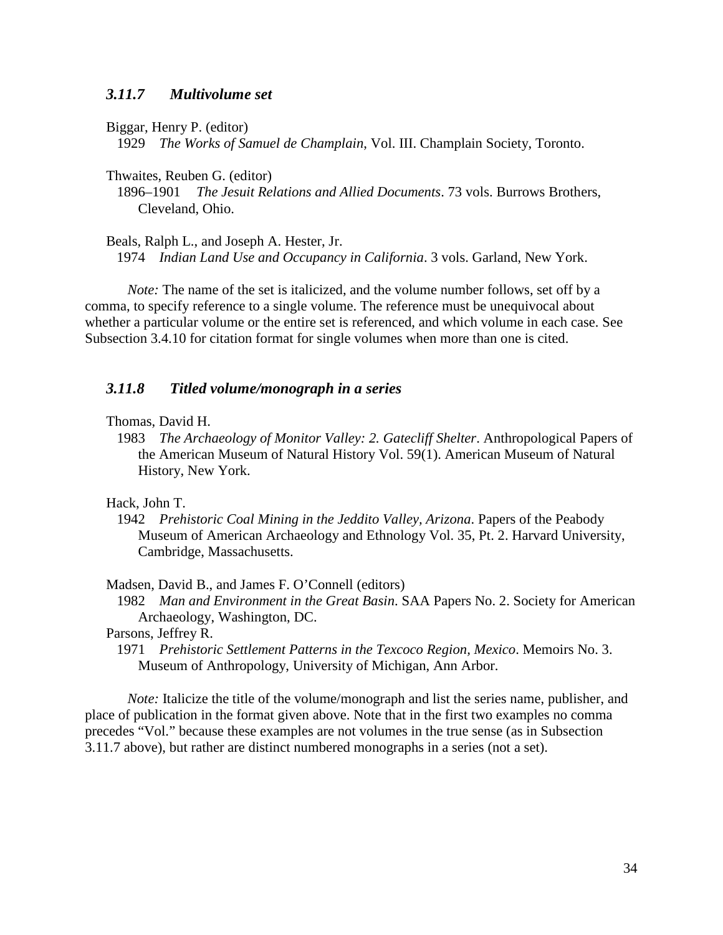#### *3.11.7 Multivolume set*

Biggar, Henry P. (editor)

1929 *The Works of Samuel de Champlain*, Vol. III. Champlain Society, Toronto.

Thwaites, Reuben G. (editor)

1896–1901 *The Jesuit Relations and Allied Documents*. 73 vols. Burrows Brothers, Cleveland, Ohio.

Beals, Ralph L., and Joseph A. Hester, Jr.

1974 *Indian Land Use and Occupancy in California*. 3 vols. Garland, New York.

*Note:* The name of the set is italicized, and the volume number follows, set off by a comma, to specify reference to a single volume. The reference must be unequivocal about whether a particular volume or the entire set is referenced, and which volume in each case. See Subsection 3.4.10 for citation format for single volumes when more than one is cited.

#### *3.11.8 Titled volume/monograph in a series*

Thomas, David H.

1983 *The Archaeology of Monitor Valley: 2. Gatecliff Shelter*. Anthropological Papers of the American Museum of Natural History Vol. 59(1). American Museum of Natural History, New York.

Hack, John T.

1942 *Prehistoric Coal Mining in the Jeddito Valley, Arizona*. Papers of the Peabody Museum of American Archaeology and Ethnology Vol. 35, Pt. 2. Harvard University, Cambridge, Massachusetts.

Madsen, David B., and James F. O'Connell (editors)

1982 *Man and Environment in the Great Basin*. SAA Papers No. 2. Society for American Archaeology, Washington, DC.

Parsons, Jeffrey R.

1971 *Prehistoric Settlement Patterns in the Texcoco Region, Mexico*. Memoirs No. 3. Museum of Anthropology, University of Michigan, Ann Arbor.

*Note:* Italicize the title of the volume/monograph and list the series name, publisher, and place of publication in the format given above. Note that in the first two examples no comma precedes "Vol." because these examples are not volumes in the true sense (as in Subsection 3.11.7 above), but rather are distinct numbered monographs in a series (not a set).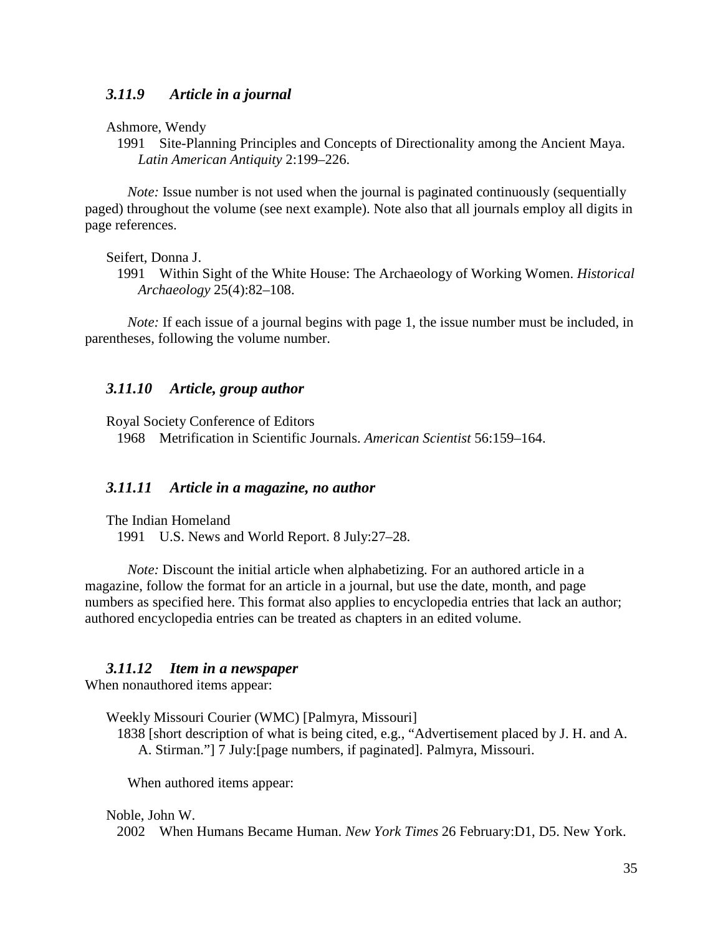#### *3.11.9 Article in a journal*

Ashmore, Wendy

1991 Site-Planning Principles and Concepts of Directionality among the Ancient Maya. *Latin American Antiquity* 2:199–226.

*Note:* Issue number is not used when the journal is paginated continuously (sequentially paged) throughout the volume (see next example). Note also that all journals employ all digits in page references.

Seifert, Donna J.

1991 Within Sight of the White House: The Archaeology of Working Women. *Historical Archaeology* 25(4):82–108.

*Note:* If each issue of a journal begins with page 1, the issue number must be included, in parentheses, following the volume number.

#### *3.11.10 Article, group author*

Royal Society Conference of Editors

1968 Metrification in Scientific Journals. *American Scientist* 56:159–164.

#### *3.11.11 Article in a magazine, no author*

The Indian Homeland

1991 U.S. News and World Report. 8 July:27–28.

*Note:* Discount the initial article when alphabetizing. For an authored article in a magazine, follow the format for an article in a journal, but use the date, month, and page numbers as specified here. This format also applies to encyclopedia entries that lack an author; authored encyclopedia entries can be treated as chapters in an edited volume.

#### *3.11.12 Item in a newspaper*

When nonauthored items appear:

Weekly Missouri Courier (WMC) [Palmyra, Missouri]

1838 [short description of what is being cited, e.g., "Advertisement placed by J. H. and A. A. Stirman."] 7 July:[page numbers, if paginated]. Palmyra, Missouri.

When authored items appear:

#### Noble, John W.

2002 When Humans Became Human. *New York Times* 26 February:D1, D5. New York.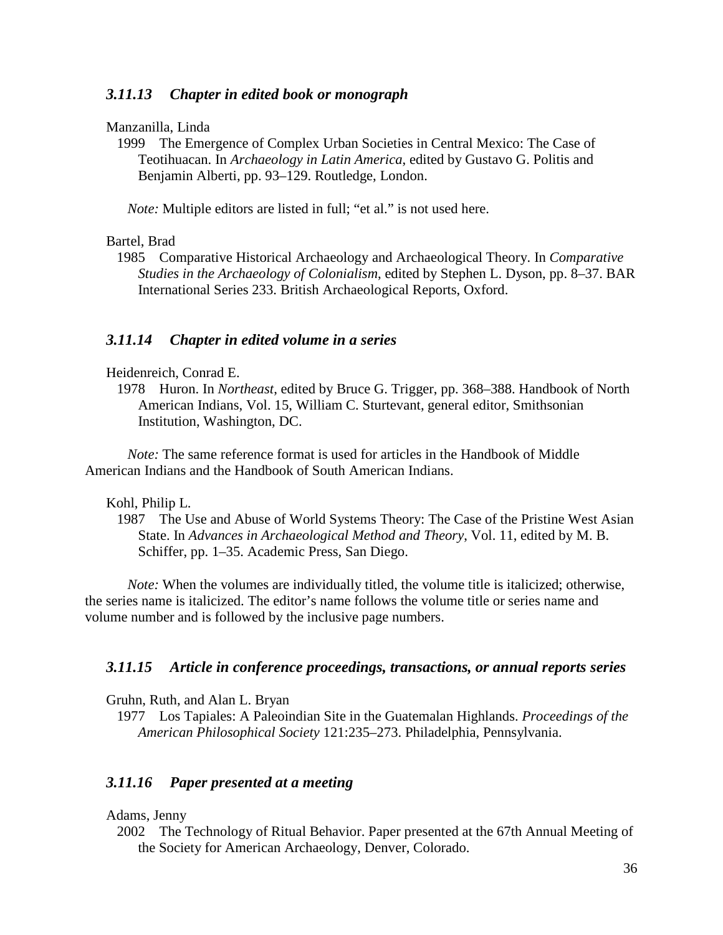#### *3.11.13 Chapter in edited book or monograph*

Manzanilla, Linda

1999 The Emergence of Complex Urban Societies in Central Mexico: The Case of Teotihuacan. In *Archaeology in Latin America*, edited by Gustavo G. Politis and Benjamin Alberti, pp. 93–129. Routledge, London.

*Note:* Multiple editors are listed in full; "et al." is not used here.

#### Bartel, Brad

1985 Comparative Historical Archaeology and Archaeological Theory. In *Comparative Studies in the Archaeology of Colonialism*, edited by Stephen L. Dyson, pp. 8–37. BAR International Series 233. British Archaeological Reports, Oxford.

#### *3.11.14 Chapter in edited volume in a series*

Heidenreich, Conrad E.

1978 Huron. In *Northeast*, edited by Bruce G. Trigger, pp. 368–388. Handbook of North American Indians, Vol. 15, William C. Sturtevant, general editor, Smithsonian Institution, Washington, DC.

*Note:* The same reference format is used for articles in the Handbook of Middle American Indians and the Handbook of South American Indians.

Kohl, Philip L.

1987 The Use and Abuse of World Systems Theory: The Case of the Pristine West Asian State. In *Advances in Archaeological Method and Theory*, Vol. 11, edited by M. B. Schiffer, pp. 1–35. Academic Press, San Diego.

*Note:* When the volumes are individually titled, the volume title is italicized; otherwise, the series name is italicized. The editor's name follows the volume title or series name and volume number and is followed by the inclusive page numbers.

#### *3.11.15 Article in conference proceedings, transactions, or annual reports series*

Gruhn, Ruth, and Alan L. Bryan

1977 Los Tapiales: A Paleoindian Site in the Guatemalan Highlands. *Proceedings of the American Philosophical Society* 121:235–273. Philadelphia, Pennsylvania.

#### *3.11.16 Paper presented at a meeting*

Adams, Jenny

2002 The Technology of Ritual Behavior. Paper presented at the 67th Annual Meeting of the Society for American Archaeology, Denver, Colorado.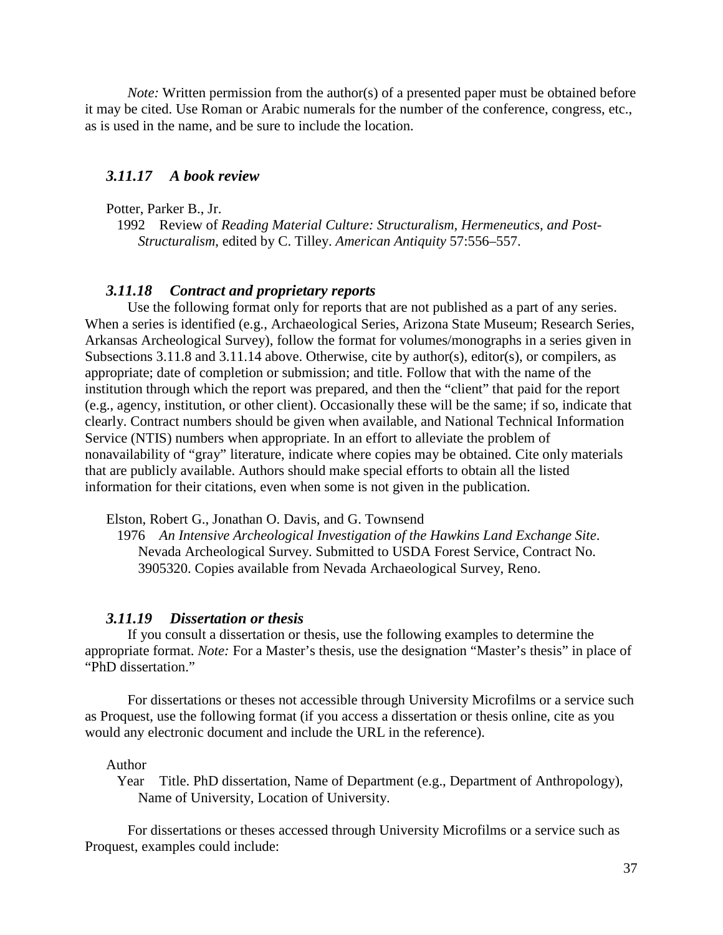*Note:* Written permission from the author(s) of a presented paper must be obtained before it may be cited. Use Roman or Arabic numerals for the number of the conference, congress, etc., as is used in the name, and be sure to include the location.

#### *3.11.17 A book review*

Potter, Parker B., Jr.

1992 Review of *Reading Material Culture: Structuralism, Hermeneutics, and Post-Structuralism*, edited by C. Tilley. *American Antiquity* 57:556–557.

#### *3.11.18 Contract and proprietary reports*

Use the following format only for reports that are not published as a part of any series. When a series is identified (e.g., Archaeological Series, Arizona State Museum; Research Series, Arkansas Archeological Survey), follow the format for volumes/monographs in a series given in Subsections 3.11.8 and 3.11.14 above. Otherwise, cite by author(s), editor(s), or compilers, as appropriate; date of completion or submission; and title. Follow that with the name of the institution through which the report was prepared, and then the "client" that paid for the report (e.g., agency, institution, or other client). Occasionally these will be the same; if so, indicate that clearly. Contract numbers should be given when available, and National Technical Information Service (NTIS) numbers when appropriate. In an effort to alleviate the problem of nonavailability of "gray" literature, indicate where copies may be obtained. Cite only materials that are publicly available. Authors should make special efforts to obtain all the listed information for their citations, even when some is not given in the publication.

Elston, Robert G., Jonathan O. Davis, and G. Townsend

1976 *An Intensive Archeological Investigation of the Hawkins Land Exchange Site*. Nevada Archeological Survey. Submitted to USDA Forest Service, Contract No. 3905320. Copies available from Nevada Archaeological Survey, Reno.

#### *3.11.19 Dissertation or thesis*

If you consult a dissertation or thesis, use the following examples to determine the appropriate format. *Note:* For a Master's thesis, use the designation "Master's thesis" in place of "PhD dissertation."

For dissertations or theses not accessible through University Microfilms or a service such as Proquest, use the following format (if you access a dissertation or thesis online, cite as you would any electronic document and include the URL in the reference).

Author

Year Title. PhD dissertation, Name of Department (e.g., Department of Anthropology), Name of University, Location of University.

For dissertations or theses accessed through University Microfilms or a service such as Proquest, examples could include: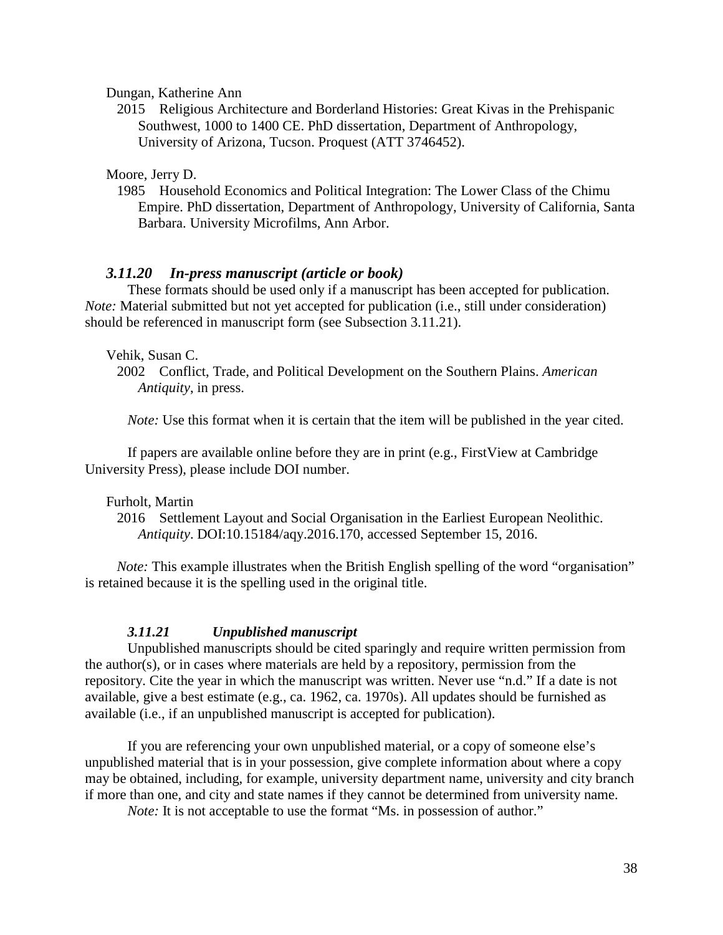Dungan, Katherine Ann

2015 Religious Architecture and Borderland Histories: Great Kivas in the Prehispanic Southwest, 1000 to 1400 CE. PhD dissertation, Department of Anthropology, University of Arizona, Tucson. Proquest (ATT 3746452).

Moore, Jerry D.

1985 Household Economics and Political Integration: The Lower Class of the Chimu Empire. PhD dissertation, Department of Anthropology, University of California, Santa Barbara. University Microfilms, Ann Arbor.

#### *3.11.20 In-press manuscript (article or book)*

These formats should be used only if a manuscript has been accepted for publication. *Note:* Material submitted but not yet accepted for publication (i.e., still under consideration) should be referenced in manuscript form (see Subsection 3.11.21).

#### Vehik, Susan C.

*Note:* Use this format when it is certain that the item will be published in the year cited.

If papers are available online before they are in print (e.g., FirstView at Cambridge University Press), please include DOI number.

#### Furholt, Martin

2016 Settlement Layout and Social Organisation in the Earliest European Neolithic. *Antiquity*. DOI:10.15184/aqy.2016.170, accessed September 15, 2016.

*Note:* This example illustrates when the British English spelling of the word "organisation" is retained because it is the spelling used in the original title.

#### *3.11.21 Unpublished manuscript*

Unpublished manuscripts should be cited sparingly and require written permission from the author(s), or in cases where materials are held by a repository, permission from the repository. Cite the year in which the manuscript was written. Never use "n.d." If a date is not available, give a best estimate (e.g., ca. 1962, ca. 1970s). All updates should be furnished as available (i.e., if an unpublished manuscript is accepted for publication).

If you are referencing your own unpublished material, or a copy of someone else's unpublished material that is in your possession, give complete information about where a copy may be obtained, including, for example, university department name, university and city branch if more than one, and city and state names if they cannot be determined from university name.

*Note:* It is not acceptable to use the format "Ms. in possession of author."

<sup>2002</sup> Conflict, Trade, and Political Development on the Southern Plains. *American Antiquity*, in press.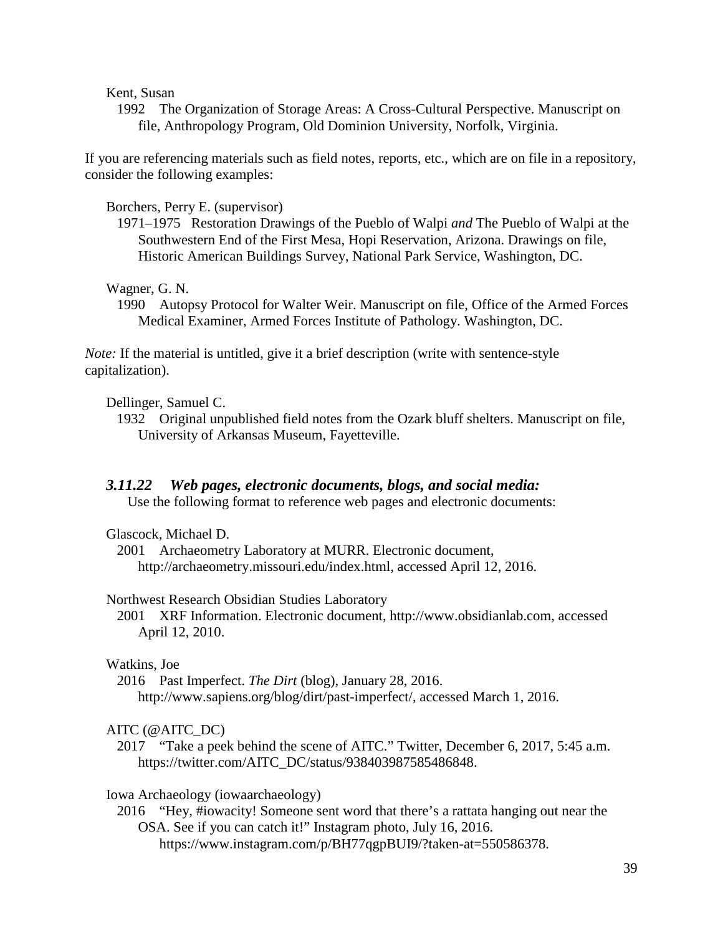Kent, Susan

1992 The Organization of Storage Areas: A Cross-Cultural Perspective. Manuscript on file, Anthropology Program, Old Dominion University, Norfolk, Virginia.

If you are referencing materials such as field notes, reports, etc., which are on file in a repository, consider the following examples:

Borchers, Perry E. (supervisor)

1971–1975 Restoration Drawings of the Pueblo of Walpi *and* The Pueblo of Walpi at the Southwestern End of the First Mesa, Hopi Reservation, Arizona. Drawings on file, Historic American Buildings Survey, National Park Service, Washington, DC.

Wagner, G. N.

1990 Autopsy Protocol for Walter Weir. Manuscript on file, Office of the Armed Forces Medical Examiner, Armed Forces Institute of Pathology. Washington, DC.

*Note:* If the material is untitled, give it a brief description (write with sentence-style capitalization).

Dellinger, Samuel C.

1932 Original unpublished field notes from the Ozark bluff shelters. Manuscript on file, University of Arkansas Museum, Fayetteville.

### *3.11.22 Web pages, electronic documents, blogs, and social media:*

Use the following format to reference web pages and electronic documents:

Glascock, Michael D.

2001 Archaeometry Laboratory at MURR. Electronic document, http://archaeometry.missouri.edu/index.html, accessed April 12, 2016.

#### Northwest Research Obsidian Studies Laboratory

2001 XRF Information. Electronic document, http://www.obsidianlab.com, accessed April 12, 2010.

#### Watkins, Joe

2016 Past Imperfect. *The Dirt* (blog), January 28, 2016. http://www.sapiens.org/blog/dirt/past-imperfect/, accessed March 1, 2016.

### AITC (@AITC\_DC)

2017 "Take a peek behind the scene of AITC." Twitter, December 6, 2017, 5:45 a.m. [https://twitter.com/AITC\\_DC/status/938403987585486848.](https://twitter.com/AITC_DC/status/938403987585486848)

Iowa Archaeology (iowaarchaeology)

2016 "Hey, #iowacity! Someone sent word that there's a rattata hanging out near the OSA. See if you can catch it!" Instagram photo, July 16, 2016. [https://www.instagram.com/p/BH77qgpBUI9/?taken-at=550586378.](https://www.instagram.com/p/BH77qgpBUI9/?taken-%09at=550586378)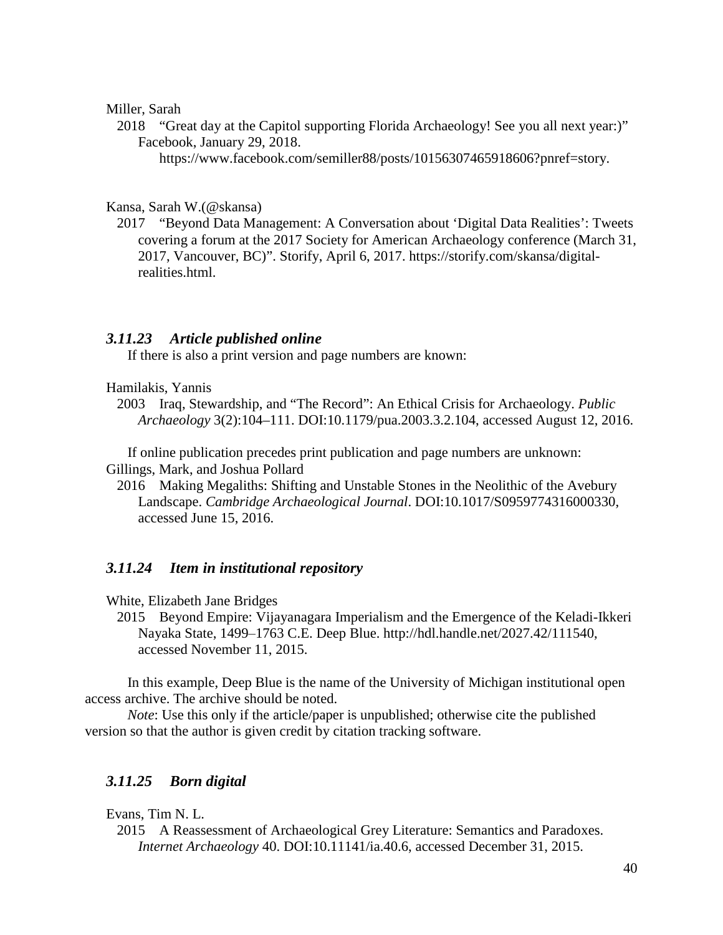#### Miller, Sarah

2018 "Great day at the Capitol supporting Florida Archaeology! See you all next year:)" Facebook, January 29, 2018.

[https://www.facebook.com/semiller88/posts/10156307465918606?pnref=story.](https://www.facebook.com/semiller88/posts/10156307465918606?pnref=story)

#### Kansa, Sarah W.(@skansa)

2017 "Beyond Data Management: A Conversation about 'Digital Data Realities': Tweets covering a forum at the 2017 Society for American Archaeology conference (March 31, 2017, Vancouver, BC)". Storify, April 6, 2017. [https://storify.com/skansa/digital](https://storify.com/skansa/digital-realities.html)[realities.html.](https://storify.com/skansa/digital-realities.html)

### *3.11.23 Article published online*

If there is also a print version and page numbers are known:

#### Hamilakis, Yannis

2003 Iraq, Stewardship, and "The Record": An Ethical Crisis for Archaeology. *Public Archaeology* 3(2):104–111. DOI:10.1179/pua.2003.3.2.104, accessed August 12, 2016.

If online publication precedes print publication and page numbers are unknown: Gillings, Mark, and Joshua Pollard

2016 Making Megaliths: Shifting and Unstable Stones in the Neolithic of the Avebury Landscape. *Cambridge Archaeological Journal*. DOI:10.1017/S0959774316000330, accessed June 15, 2016.

#### *3.11.24 Item in institutional repository*

White, Elizabeth Jane Bridges

2015 Beyond Empire: Vijayanagara Imperialism and the Emergence of the Keladi-Ikkeri Nayaka State, 1499‒1763 C.E. Deep Blue. http://hdl.handle.net/2027.42/111540, accessed November 11, 2015.

In this example, Deep Blue is the name of the University of Michigan institutional open access archive. The archive should be noted.

*Note*: Use this only if the article/paper is unpublished; otherwise cite the published version so that the author is given credit by citation tracking software.

### *3.11.25 Born digital*

#### Evans, Tim N. L.

2015 A Reassessment of Archaeological Grey Literature: Semantics and Paradoxes. *Internet Archaeology* 40. DOI:10.11141/ia.40.6, accessed December 31, 2015.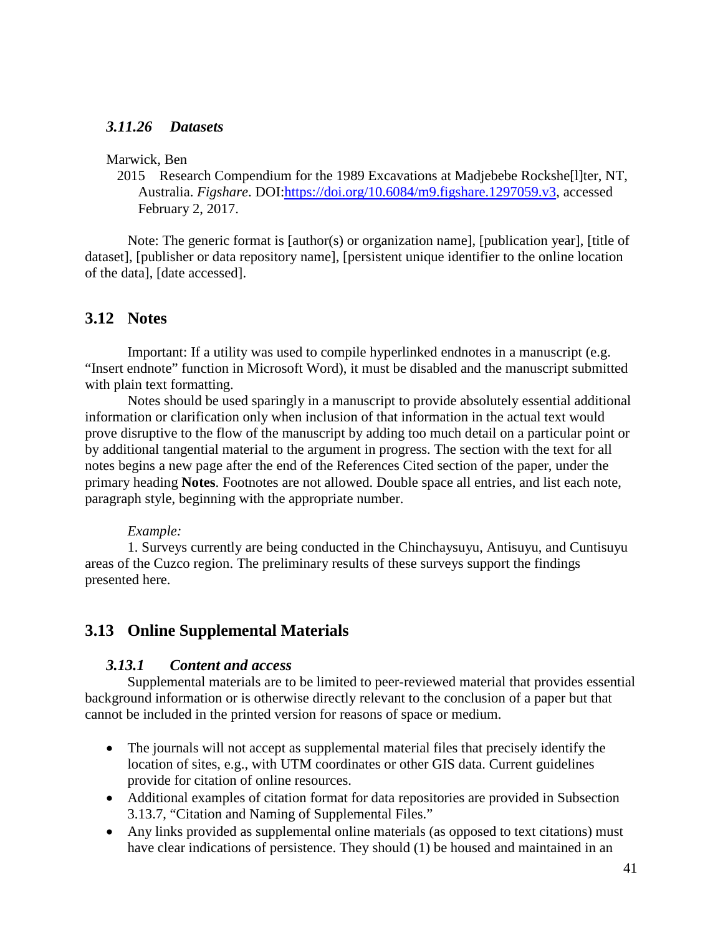### *3.11.26 Datasets*

#### Marwick, Ben

2015 Research Compendium for the 1989 Excavations at Madjebebe Rockshe[l]ter, NT, Australia. *Figshare*. DOI[:https://doi.org/10.6084/m9.figshare.1297059.v3,](https://doi.org/10.6084/m9.figshare.1297059.v3) accessed February 2, 2017.

Note: The generic format is [author(s) or organization name], [publication year], [title of dataset], [publisher or data repository name], [persistent unique identifier to the online location of the data], [date accessed].

### **3.12 Notes**

Important: If a utility was used to compile hyperlinked endnotes in a manuscript (e.g. "Insert endnote" function in Microsoft Word), it must be disabled and the manuscript submitted with plain text formatting.

Notes should be used sparingly in a manuscript to provide absolutely essential additional information or clarification only when inclusion of that information in the actual text would prove disruptive to the flow of the manuscript by adding too much detail on a particular point or by additional tangential material to the argument in progress. The section with the text for all notes begins a new page after the end of the References Cited section of the paper, under the primary heading **Notes**. Footnotes are not allowed. Double space all entries, and list each note, paragraph style, beginning with the appropriate number.

#### *Example:*

1. Surveys currently are being conducted in the Chinchaysuyu, Antisuyu, and Cuntisuyu areas of the Cuzco region. The preliminary results of these surveys support the findings presented here.

### **3.13 Online Supplemental Materials**

#### *3.13.1 Content and access*

Supplemental materials are to be limited to peer-reviewed material that provides essential background information or is otherwise directly relevant to the conclusion of a paper but that cannot be included in the printed version for reasons of space or medium.

- The journals will not accept as supplemental material files that precisely identify the location of sites, e.g., with UTM coordinates or other GIS data. Current guidelines provide for citation of online resources.
- Additional examples of citation format for data repositories are provided in Subsection 3.13.7, "Citation and Naming of Supplemental Files."
- Any links provided as supplemental online materials (as opposed to text citations) must have clear indications of persistence. They should (1) be housed and maintained in an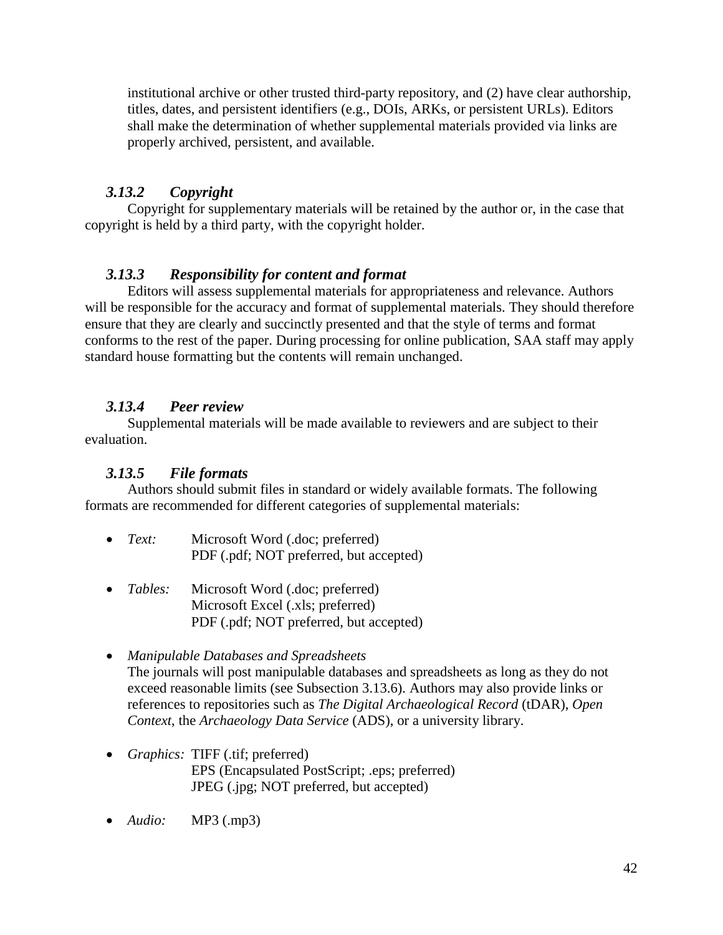institutional archive or other trusted third-party repository, and (2) have clear authorship, titles, dates, and persistent identifiers (e.g., DOIs, ARKs, or persistent URLs). Editors shall make the determination of whether supplemental materials provided via links are properly archived, persistent, and available.

### *3.13.2 Copyright*

Copyright for supplementary materials will be retained by the author or, in the case that copyright is held by a third party, with the copyright holder.

### *3.13.3 Responsibility for content and format*

Editors will assess supplemental materials for appropriateness and relevance. Authors will be responsible for the accuracy and format of supplemental materials. They should therefore ensure that they are clearly and succinctly presented and that the style of terms and format conforms to the rest of the paper. During processing for online publication, SAA staff may apply standard house formatting but the contents will remain unchanged.

### *3.13.4 Peer review*

Supplemental materials will be made available to reviewers and are subject to their evaluation.

### *3.13.5 File formats*

Authors should submit files in standard or widely available formats. The following formats are recommended for different categories of supplemental materials:

- *Text:* Microsoft Word (.doc; preferred) PDF (.pdf; NOT preferred, but accepted)
- *Tables:* Microsoft Word (.doc; preferred) Microsoft Excel (.xls; preferred) PDF (.pdf; NOT preferred, but accepted)
- *Manipulable Databases and Spreadsheets* The journals will post manipulable databases and spreadsheets as long as they do not exceed reasonable limits (see Subsection 3.13.6). Authors may also provide links or references to repositories such as *The Digital Archaeological Record* (tDAR), *Open Context*, the *Archaeology Data Service* (ADS), or a university library.
- *Graphics:* TIFF (.tif; preferred) EPS (Encapsulated PostScript; .eps; preferred) JPEG (.jpg; NOT preferred, but accepted)
- *Audio:* MP3 (.mp3)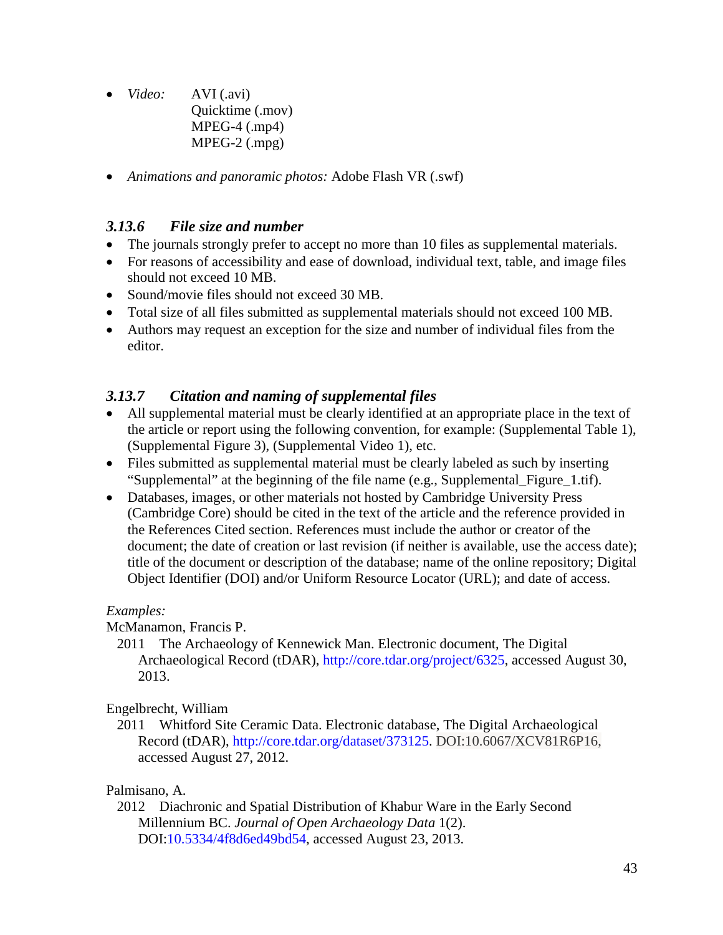- *Video:* AVI (.avi) Quicktime (.mov) MPEG-4 (.mp4) MPEG-2 (.mpg)
- *Animations and panoramic photos:* Adobe Flash VR (.swf)

### *3.13.6 File size and number*

- The journals strongly prefer to accept no more than 10 files as supplemental materials.
- For reasons of accessibility and ease of download, individual text, table, and image files should not exceed 10 MB.
- Sound/movie files should not exceed 30 MB.
- Total size of all files submitted as supplemental materials should not exceed 100 MB.
- Authors may request an exception for the size and number of individual files from the editor.

### *3.13.7 Citation and naming of supplemental files*

- All supplemental material must be clearly identified at an appropriate place in the text of the article or report using the following convention, for example: (Supplemental Table 1), (Supplemental Figure 3), (Supplemental Video 1), etc.
- Files submitted as supplemental material must be clearly labeled as such by inserting "Supplemental" at the beginning of the file name (e.g., Supplemental\_Figure\_1.tif).
- Databases, images, or other materials not hosted by Cambridge University Press (Cambridge Core) should be cited in the text of the article and the reference provided in the References Cited section. References must include the author or creator of the document; the date of creation or last revision (if neither is available, use the access date); title of the document or description of the database; name of the online repository; Digital Object Identifier (DOI) and/or Uniform Resource Locator (URL); and date of access.

### *Examples:*

McManamon, Francis P.

2011 The Archaeology of Kennewick Man. Electronic document, The Digital Archaeological Record (tDAR), [http://core.tdar.org/project/6325,](http://core.tdar.org/project/6325) accessed August 30, 2013.

### Engelbrecht, William

2011 Whitford Site Ceramic Data. Electronic database, The Digital Archaeological Record (tDAR), [http://core.tdar.org/dataset/373125.](http://core.tdar.org/dataset/373125) DOI:10.6067/XCV81R6P16, accessed August 27, 2012.

### Palmisano, A.

2012 Diachronic and Spatial Distribution of Khabur Ware in the Early Second Millennium BC. *Journal of Open Archaeology Data* 1(2). DOI[:10.5334/4f8d6ed49bd54,](http://dx.doi.org/10.5334/4f8d6ed49bd54) accessed August 23, 2013.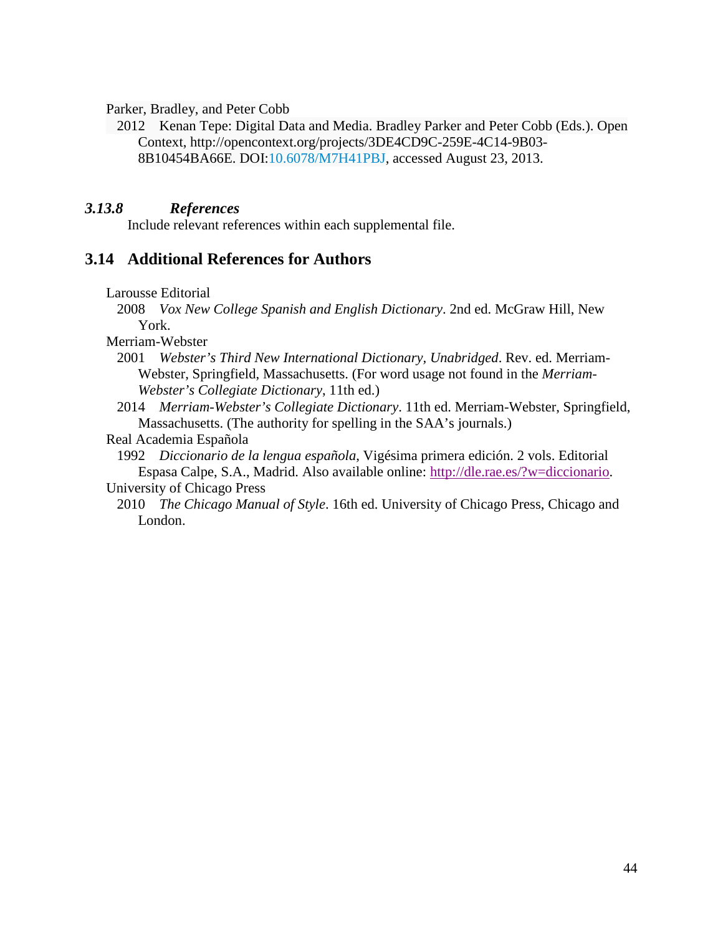Parker, Bradley, and Peter Cobb

2012 Kenan Tepe: Digital Data and Media. Bradley Parker and Peter Cobb (Eds.). Open Context, http://opencontext.org/projects/3DE4CD9C-259E-4C14-9B03- 8B10454BA66E. DOI[:10.6078/M7H41PBJ,](http://dx.doi.org/10.6078/M7H41PBJ) accessed August 23, 2013.

#### *3.13.8 References*

Include relevant references within each supplemental file.

### **3.14 Additional References for Authors**

Larousse Editorial

2008 *Vox New College Spanish and English Dictionary*. 2nd ed. McGraw Hill, New York.

Merriam-Webster

- 2001 *Webster's Third New International Dictionary, Unabridged*. Rev. ed. Merriam-Webster, Springfield, Massachusetts. (For word usage not found in the *Merriam-Webster's Collegiate Dictionary*, 11th ed.)
- 2014 *Merriam-Webster's Collegiate Dictionary*. 11th ed. Merriam-Webster, Springfield, Massachusetts. (The authority for spelling in the SAA's journals.)

#### Real Academia Española

1992 *Diccionario de la lengua española*, Vigésima primera edición. 2 vols. Editorial Espasa Calpe, S.A., Madrid. Also available online: [http://dle.rae.es/?w=diccionario.](http://dle.rae.es/?w=diccionario)

#### University of Chicago Press

2010 *The Chicago Manual of Style*. 16th ed. University of Chicago Press, Chicago and London.